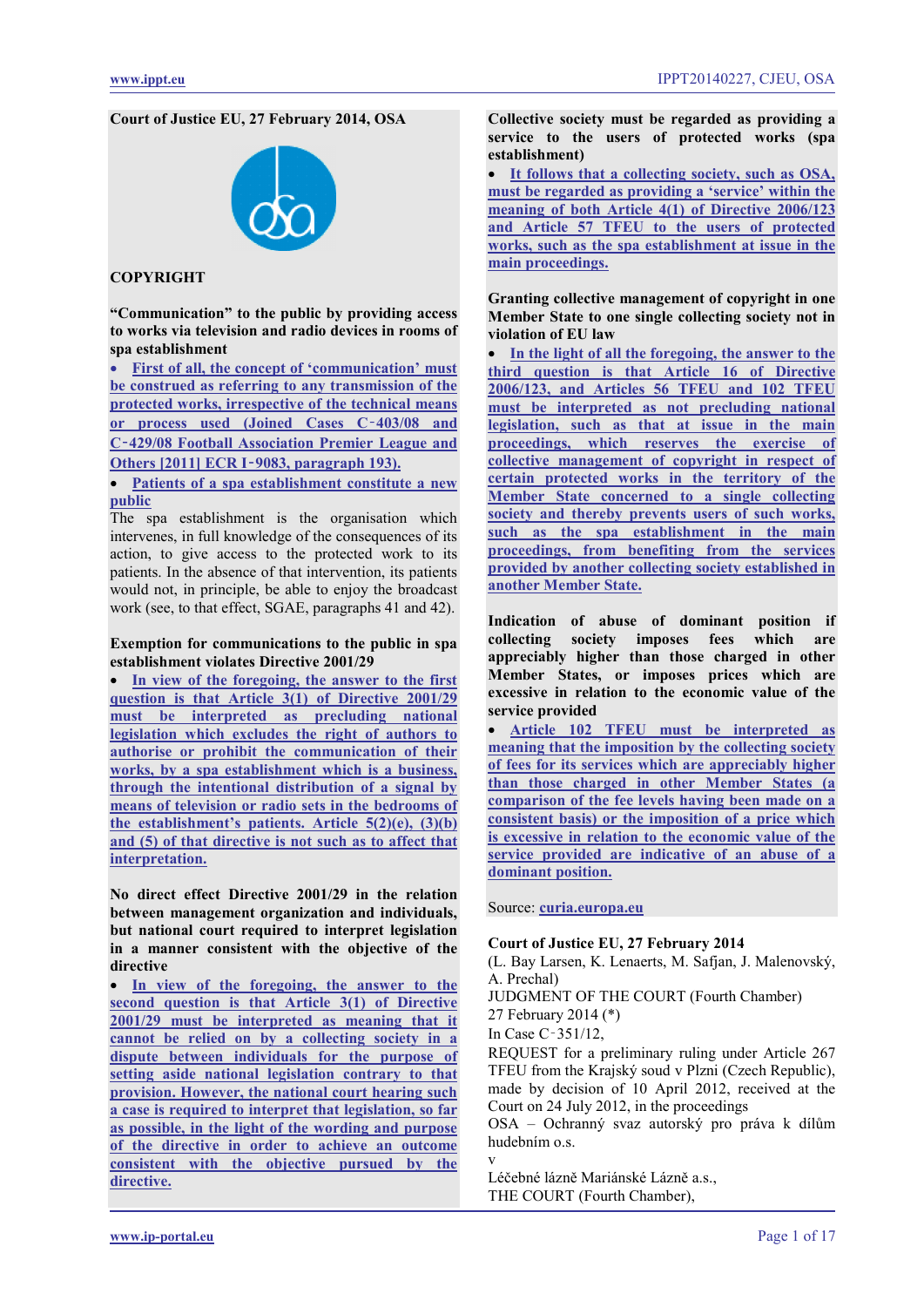**Court of Justice EU, 27 February 2014, OSA**



# **COPYRIGHT**

**"Communication" to the public by providing access to works via television and radio devices in rooms of spa establishment**

• **[First of all, the concept of 'communication' must](#page-3-0)  [be construed as referring to any transmission of the](#page-3-0)  [protected works, irrespective of the technical means](#page-3-0)  [or process used \(Joined Cases C](#page-3-0)**‑**403/08 and C**‑**[429/08 Football Association Premier League and](#page-3-0)  Others [2011] ECR I**‑**[9083, paragraph 193\).](#page-3-0)**

• **[Patients of a spa establishment constitute a new](#page-3-1)  [public](#page-3-1)**

The spa establishment is the organisation which intervenes, in full knowledge of the consequences of its action, to give access to the protected work to its patients. In the absence of that intervention, its patients would not, in principle, be able to enjoy the broadcast work (see, to that effect, SGAE, paragraphs 41 and 42).

### **Exemption for communications to the public in spa establishment violates Directive 2001/29**

In view of the foregoing, the answer to the first **[question is that Article 3\(1\) of Directive 2001/29](#page-4-0)  [must be interpreted as precluding national](#page-4-0)  [legislation which excludes the right of authors to](#page-4-0)  [authorise or prohibit the communication of their](#page-4-0)  [works, by a spa establishment which is a business,](#page-4-0)  [through the intentional distribution of a signal by](#page-4-0)  [means of television or radio sets in the bedrooms of](#page-4-0)  [the establishment's patients. Article 5\(2\)\(e\), \(3\)\(b\)](#page-4-0)  [and \(5\) of that directive is not such as to affect that](#page-4-0)  [interpretation.](#page-4-0)**

**No direct effect Directive 2001/29 in the relation between management organization and individuals, but national court required to interpret legislation in a manner consistent with the objective of the directive**

In view of the foregoing, the answer to the **[second question is that Article 3\(1\) of Directive](#page-4-1)  [2001/29 must be interpreted as meaning that it](#page-4-1)  [cannot be relied on by a collecting society in a](#page-4-1)  [dispute between individuals for the purpose of](#page-4-1)  [setting aside national legislation contrary to that](#page-4-1)  [provision. However, the national court hearing such](#page-4-1)  [a case is required to interpret that legislation, so far](#page-4-1)  [as possible, in the light of the wording and purpose](#page-4-1)  [of the directive in order to achieve an outcome](#page-4-1)  [consistent with the objective pursued by the](#page-4-1)  [directive.](#page-4-1)**

**Collective society must be regarded as providing a service to the users of protected works (spa establishment)**

• **[It follows that a collecting society, such as OSA,](#page-5-0)  [must be regarded as providing a 'service' within the](#page-5-0)  [meaning of both Article 4\(1\) of Directive 2006/123](#page-5-0)  [and Article 57 TFEU to the users](#page-5-0) of protected [works, such as the spa establishment at issue in the](#page-5-0)  [main proceedings.](#page-5-0)**

**Granting collective management of copyright in one Member State to one single collecting society not in violation of EU law** 

In the light of all the foregoing, the answer to the **[third question is that Article 16 of Directive](#page-7-0)  [2006/123, and Articles 56 TFEU and 102 TFEU](#page-7-0)  [must be interpreted as not precluding national](#page-7-0)  [legislation, such as that at issue in the main](#page-7-0)  [proceedings, which reserves the exercise of](#page-7-0)  [collective management of copyright in respect of](#page-7-0)  [certain protected works in the territory of the](#page-7-0)  [Member State concerned to a single collecting](#page-7-0)  [society and thereby prevents users of such works,](#page-7-0)  [such as the spa establishment in the main](#page-7-0)  [proceedings, from benefiting from the services](#page-7-0)  [provided by another collecting society established in](#page-7-0)  [another Member State.](#page-7-0)**

**Indication of abuse of dominant position if collecting society imposes fees which are appreciably higher than those charged in other Member States, or imposes prices which are excessive in relation to the economic value of the service provided** 

• **[Article 102 TFEU must be interpreted as](#page-7-1)  [meaning that the imposition by the collecting society](#page-7-1)  [of fees for its services which are appreciably higher](#page-7-1)  [than those charged in other Member States \(a](#page-7-1)  [comparison of the fee levels having been made on a](#page-7-1)  [consistent basis\) or the imposition of a price which](#page-7-1)  [is excessive in relation to the economic value of the](#page-7-1)  [service provided are indicative of an](#page-7-1) abuse of a [dominant position.](#page-7-1)**

Source: **[curia.europa.eu](http://curia.europa.eu/juris/liste.jsf?language=enl&jur=C,T,F&num=C-351/12&td=ALL)**

#### **Court of Justice EU, 27 February 2014**

(L. Bay Larsen, K. Lenaerts, M. Safjan, J. Malenovský, A. Prechal)

JUDGMENT OF THE COURT (Fourth Chamber)

27 February 2014 (\*)

In Case C‑351/12,

v

REQUEST for a preliminary ruling under Article 267 TFEU from the Krajský soud v Plzni (Czech Republic), made by decision of 10 April 2012, received at the Court on 24 July 2012, in the proceedings

OSA – Ochranný svaz autorský pro práva k dílům hudebním o.s.

Léčebné lázně Mariánské Lázně a.s., THE COURT (Fourth Chamber),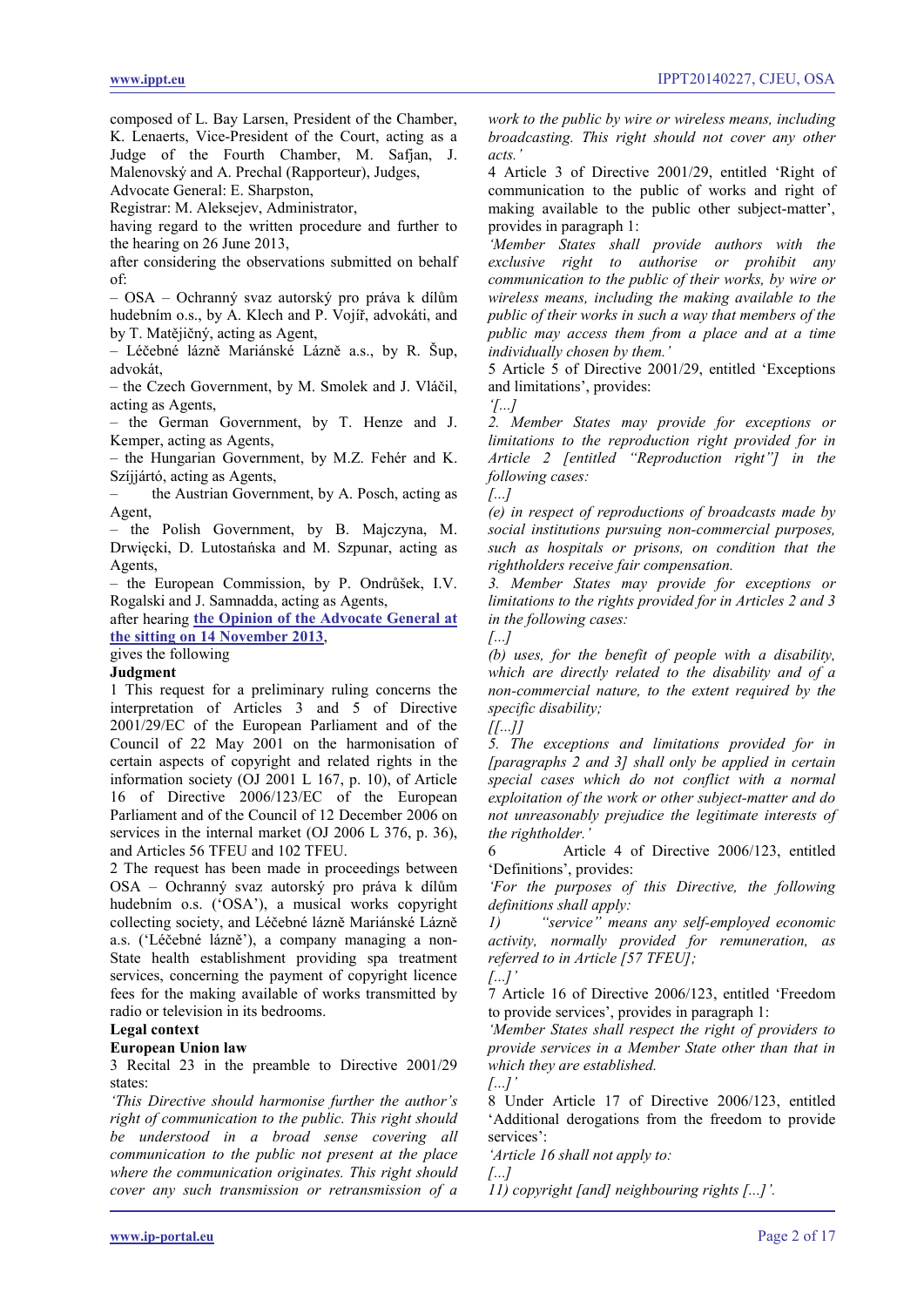composed of L. Bay Larsen, President of the Chamber, K. Lenaerts, Vice-President of the Court, acting as a Judge of the Fourth Chamber, M. Safjan, J.

Malenovský and A. Prechal (Rapporteur), Judges,

Advocate General: E. Sharpston,

Registrar: M. Aleksejev, Administrator,

having regard to the written procedure and further to the hearing on 26 June 2013,

after considering the observations submitted on behalf of:

– OSA – Ochranný svaz autorský pro práva k dílům hudebním o.s., by A. Klech and P. Vojíř, advokáti, and by T. Matějičný, acting as Agent,

– Léčebné lázně Mariánské Lázně a.s., by R. Šup, advokát,

– the Czech Government, by M. Smolek and J. Vláčil, acting as Agents,

– the German Government, by T. Henze and J. Kemper, acting as Agents,

– the Hungarian Government, by M.Z. Fehér and K. Szíjjártó, acting as Agents,

– the Austrian Government, by A. Posch, acting as Agent,

– the Polish Government, by B. Majczyna, M. Drwięcki, D. Lutostańska and M. Szpunar, acting as Agents,

– the European Commission, by P. Ondrůšek, I.V. Rogalski and J. Samnadda, acting as Agents,

after hearing **[the Opinion of the Advocate General at](#page-8-0)  [the sitting on 14 November 2013](#page-8-0)**,

gives the following

# **Judgment**

1 This request for a preliminary ruling concerns the interpretation of Articles 3 and 5 of Directive 2001/29/EC of the European Parliament and of the Council of 22 May 2001 on the harmonisation of certain aspects of copyright and related rights in the information society (OJ 2001 L 167, p. 10), of Article 16 of Directive 2006/123/EC of the European Parliament and of the Council of 12 December 2006 on services in the internal market (OJ 2006 L 376, p. 36), and Articles 56 TFEU and 102 TFEU.

2 The request has been made in proceedings between OSA – Ochranný svaz autorský pro práva k dílům hudebním o.s. ('OSA'), a musical works copyright collecting society, and Léčebné lázně Mariánské Lázně a.s. ('Léčebné lázně'), a company managing a non-State health establishment providing spa treatment services, concerning the payment of copyright licence fees for the making available of works transmitted by radio or television in its bedrooms.

#### **Legal context**

# **European Union law**

3 Recital 23 in the preamble to Directive 2001/29 states:

*'This Directive should harmonise further the author's right of communication to the public. This right should be understood in a broad sense covering all communication to the public not present at the place where the communication originates. This right should cover any such transmission or retransmission of a*  *work to the public by wire or wireless means, including broadcasting. This right should not cover any other acts.'*

4 Article 3 of Directive 2001/29, entitled 'Right of communication to the public of works and right of making available to the public other subject-matter', provides in paragraph 1:

*'Member States shall provide authors with the exclusive right to authorise or prohibit any communication to the public of their works, by wire or wireless means, including the making available to the public of their works in such a way that members of the public may access them from a place and at a time individually chosen by them.'*

5 Article 5 of Directive 2001/29, entitled 'Exceptions and limitations', provides:

*'[...]*

*2. Member States may provide for exceptions or limitations to the reproduction right provided for in Article 2 [entitled "Reproduction right"] in the following cases:*

*[...]*

*(e) in respect of reproductions of broadcasts made by social institutions pursuing non-commercial purposes, such as hospitals or prisons, on condition that the rightholders receive fair compensation.*

*3. Member States may provide for exceptions or limitations to the rights provided for in Articles 2 and 3 in the following cases:*

*[...]*

*(b) uses, for the benefit of people with a disability, which are directly related to the disability and of a non-commercial nature, to the extent required by the specific disability;*

*[[...]]*

*5. The exceptions and limitations provided for in [paragraphs 2 and 3] shall only be applied in certain special cases which do not conflict with a normal exploitation of the work or other subject-matter and do not unreasonably prejudice the legitimate interests of the rightholder.'*

6 Article 4 of Directive 2006/123, entitled 'Definitions', provides:

*'For the purposes of this Directive, the following definitions shall apply:*

*1) "service" means any self-employed economic activity, normally provided for remuneration, as referred to in Article [57 TFEU]; [...]'*

7 Article 16 of Directive 2006/123, entitled 'Freedom to provide services', provides in paragraph 1:

*'Member States shall respect the right of providers to provide services in a Member State other than that in which they are established.* 

*[...]'*

8 Under Article 17 of Directive 2006/123, entitled 'Additional derogations from the freedom to provide services':

*'Article 16 shall not apply to:*

*[...]*

*11) copyright [and] neighbouring rights [...]'.*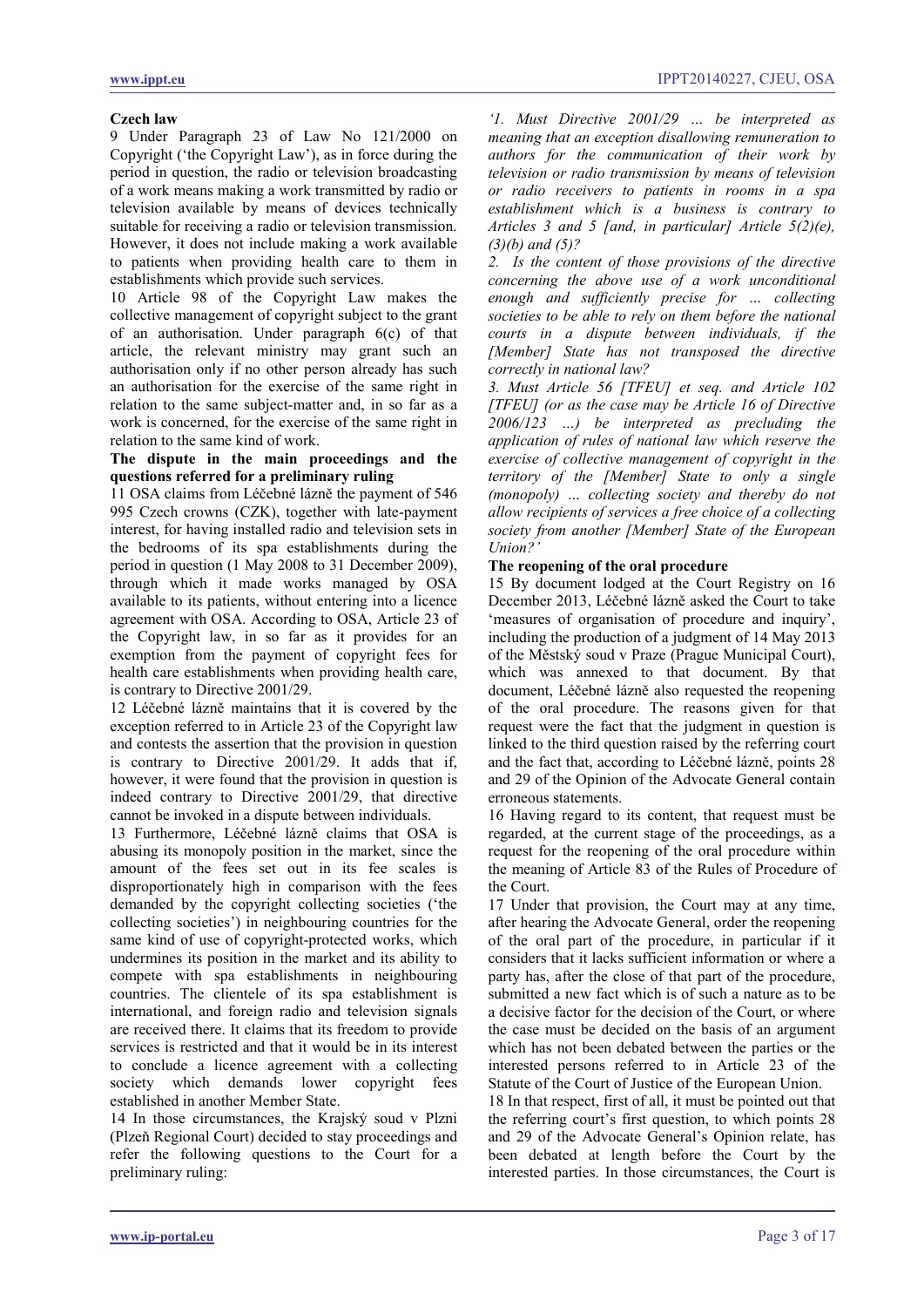#### **Czech law**

9 Under Paragraph 23 of Law No 121/2000 on Copyright ('the Copyright Law'), as in force during the period in question, the radio or television broadcasting of a work means making a work transmitted by radio or television available by means of devices technically suitable for receiving a radio or television transmission. However, it does not include making a work available to patients when providing health care to them in establishments which provide such services.

10 Article 98 of the Copyright Law makes the collective management of copyright subject to the grant of an authorisation. Under paragraph 6(c) of that article, the relevant ministry may grant such an authorisation only if no other person already has such an authorisation for the exercise of the same right in relation to the same subject-matter and, in so far as a work is concerned, for the exercise of the same right in relation to the same kind of work.

# **The dispute in the main proceedings and the questions referred for a preliminary ruling**

11 OSA claims from Léčebné lázně the payment of 546 995 Czech crowns (CZK), together with late-payment interest, for having installed radio and television sets in the bedrooms of its spa establishments during the period in question (1 May 2008 to 31 December 2009), through which it made works managed by OSA available to its patients, without entering into a licence agreement with OSA. According to OSA, Article 23 of the Copyright law, in so far as it provides for an exemption from the payment of copyright fees for health care establishments when providing health care, is contrary to Directive 2001/29.

12 Léčebné lázně maintains that it is covered by the exception referred to in Article 23 of the Copyright law and contests the assertion that the provision in question is contrary to Directive 2001/29. It adds that if, however, it were found that the provision in question is indeed contrary to Directive 2001/29, that directive cannot be invoked in a dispute between individuals.

13 Furthermore, Léčebné lázně claims that OSA is abusing its monopoly position in the market, since the amount of the fees set out in its fee scales is disproportionately high in comparison with the fees demanded by the copyright collecting societies ('the collecting societies') in neighbouring countries for the same kind of use of copyright-protected works, which undermines its position in the market and its ability to compete with spa establishments in neighbouring countries. The clientele of its spa establishment is international, and foreign radio and television signals are received there. It claims that its freedom to provide services is restricted and that it would be in its interest to conclude a licence agreement with a collecting society which demands lower copyright fees established in another Member State.

14 In those circumstances, the Krajský soud v Plzni (Plzeň Regional Court) decided to stay proceedings and refer the following questions to the Court for a preliminary ruling:

*'1. Must Directive 2001/29 … be interpreted as meaning that an exception disallowing remuneration to authors for the communication of their work by television or radio transmission by means of television or radio receivers to patients in rooms in a spa establishment which is a business is contrary to Articles 3 and 5 [and, in particular] Article 5(2)(e), (3)(b) and (5)?*

*2. Is the content of those provisions of the directive concerning the above use of a work unconditional enough and sufficiently precise for … collecting societies to be able to rely on them before the national courts in a dispute between individuals, if the [Member] State has not transposed the directive correctly in national law?*

*3. Must Article 56 [TFEU] et seq. and Article 102 [TFEU] (or as the case may be Article 16 of Directive 2006/123 …) be interpreted as precluding the application of rules of national law which reserve the exercise of collective management of copyright in the territory of the [Member] State to only a single (monopoly) … collecting society and thereby do not allow recipients of services a free choice of a collecting society from another [Member] State of the European Union?'*

# **The reopening of the oral procedure**

15 By document lodged at the Court Registry on 16 December 2013, Léčebné lázně asked the Court to take 'measures of organisation of procedure and inquiry', including the production of a judgment of 14 May 2013 of the Městský soud v Praze (Prague Municipal Court), which was annexed to that document. By that document, Léčebné lázně also requested the reopening of the oral procedure. The reasons given for that request were the fact that the judgment in question is linked to the third question raised by the referring court and the fact that, according to Léčebné lázně, points 28 and 29 of the Opinion of the Advocate General contain erroneous statements.

16 Having regard to its content, that request must be regarded, at the current stage of the proceedings, as a request for the reopening of the oral procedure within the meaning of Article 83 of the Rules of Procedure of the Court.

17 Under that provision, the Court may at any time, after hearing the Advocate General, order the reopening of the oral part of the procedure, in particular if it considers that it lacks sufficient information or where a party has, after the close of that part of the procedure, submitted a new fact which is of such a nature as to be a decisive factor for the decision of the Court, or where the case must be decided on the basis of an argument which has not been debated between the parties or the interested persons referred to in Article 23 of the Statute of the Court of Justice of the European Union.

18 In that respect, first of all, it must be pointed out that the referring court's first question, to which points 28 and 29 of the Advocate General's Opinion relate, has been debated at length before the Court by the interested parties. In those circumstances, the Court is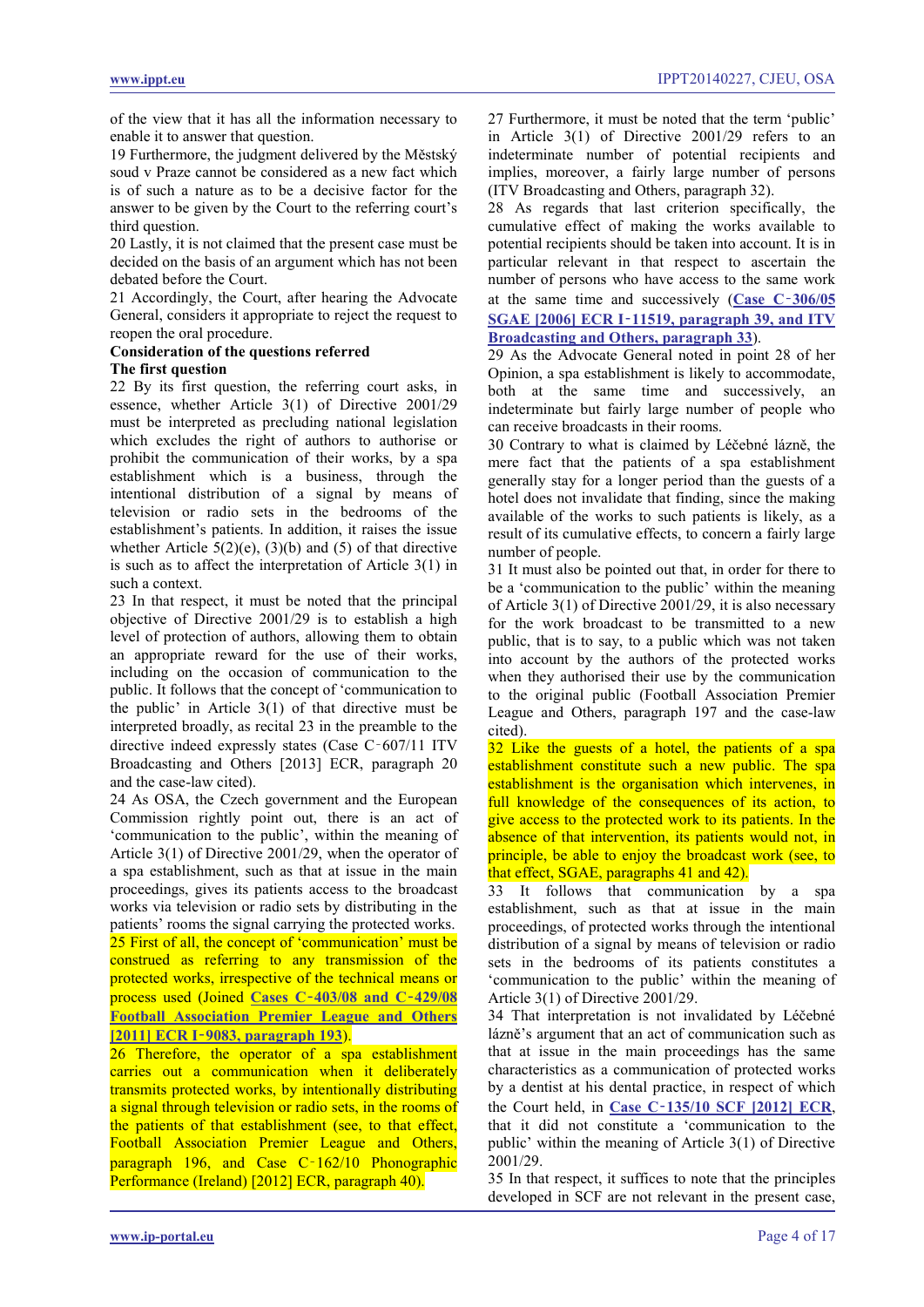of the view that it has all the information necessary to enable it to answer that question.

19 Furthermore, the judgment delivered by the Městský soud v Praze cannot be considered as a new fact which is of such a nature as to be a decisive factor for the answer to be given by the Court to the referring court's third question.

20 Lastly, it is not claimed that the present case must be decided on the basis of an argument which has not been debated before the Court.

21 Accordingly, the Court, after hearing the Advocate General, considers it appropriate to reject the request to reopen the oral procedure.

#### **Consideration of the questions referred The first question**

22 By its first question, the referring court asks, in essence, whether Article 3(1) of Directive 2001/29 must be interpreted as precluding national legislation which excludes the right of authors to authorise or prohibit the communication of their works, by a spa establishment which is a business, through the intentional distribution of a signal by means of television or radio sets in the bedrooms of the establishment's patients. In addition, it raises the issue whether Article  $5(2)(e)$ ,  $(3)(b)$  and  $(5)$  of that directive is such as to affect the interpretation of Article 3(1) in such a context.

23 In that respect, it must be noted that the principal objective of Directive 2001/29 is to establish a high level of protection of authors, allowing them to obtain an appropriate reward for the use of their works, including on the occasion of communication to the public. It follows that the concept of 'communication to the public' in Article 3(1) of that directive must be interpreted broadly, as recital 23 in the preamble to the directive indeed expressly states (Case C‑607/11 ITV Broadcasting and Others [2013] ECR, paragraph 20 and the case-law cited).

24 As OSA, the Czech government and the European Commission rightly point out, there is an act of 'communication to the public', within the meaning of Article 3(1) of Directive 2001/29, when the operator of a spa establishment, such as that at issue in the main proceedings, gives its patients access to the broadcast works via television or radio sets by distributing in the patients' rooms the signal carrying the protected works. 25 First of all, the concept of 'communication' must be construed as referring to any transmission of the protected works, irrespective of the technical means or process used (Joined **Cases C**‑**[403/08 and C](http://www.ippt.eu/files/2011/IPPT20111004_ECJ_Premier_League.pdf)**‑**429/08 [Football Association Premier](http://www.ippt.eu/files/2011/IPPT20111004_ECJ_Premier_League.pdf) League and Others [2011] ECR I**‑**[9083, paragraph 193](http://www.ippt.eu/files/2011/IPPT20111004_ECJ_Premier_League.pdf)**).

<span id="page-3-0"></span>26 Therefore, the operator of a spa establishment carries out a communication when it deliberately transmits protected works, by intentionally distributing a signal through television or radio sets, in the rooms of the patients of that establishment (see, to that effect, Football Association Premier League and Others, paragraph 196, and Case C-162/10 Phonographic Performance (Ireland) [2012] ECR, paragraph 40).

27 Furthermore, it must be noted that the term 'public' in Article 3(1) of Directive 2001/29 refers to an indeterminate number of potential recipients and implies, moreover, a fairly large number of persons (ITV Broadcasting and Others, paragraph 32).

28 As regards that last criterion specifically, the cumulative effect of making the works available to potential recipients should be taken into account. It is in particular relevant in that respect to ascertain the number of persons who have access to the same work at the same time and successively (**[Case C](http://www.ippt.eu/files/2006/IPPT20061207_ECJ_SGAE_v_Rafael_Hoteles.pdf)**‑**306/05** 

# **SGAE [2006] ECR I**‑**[11519, paragraph 39, and ITV](http://www.ippt.eu/files/2006/IPPT20061207_ECJ_SGAE_v_Rafael_Hoteles.pdf)  [Broadcasting and Others, paragraph 33](http://www.ippt.eu/files/2006/IPPT20061207_ECJ_SGAE_v_Rafael_Hoteles.pdf)**).

29 As the Advocate General noted in point 28 of her Opinion, a spa establishment is likely to accommodate, both at the same time and successively, an indeterminate but fairly large number of people who can receive broadcasts in their rooms.

30 Contrary to what is claimed by Léčebné lázně, the mere fact that the patients of a spa establishment generally stay for a longer period than the guests of a hotel does not invalidate that finding, since the making available of the works to such patients is likely, as a result of its cumulative effects, to concern a fairly large number of people.

31 It must also be pointed out that, in order for there to be a 'communication to the public' within the meaning of Article 3(1) of Directive 2001/29, it is also necessary for the work broadcast to be transmitted to a new public, that is to say, to a public which was not taken into account by the authors of the protected works when they authorised their use by the communication to the original public (Football Association Premier League and Others, paragraph 197 and the case-law cited).

<span id="page-3-1"></span>32 Like the guests of a hotel, the patients of a spa establishment constitute such a new public. The spa establishment is the organisation which intervenes, in full knowledge of the consequences of its action, to give access to the protected work to its patients. In the absence of that intervention, its patients would not, in principle, be able to enjoy the broadcast work (see, to that effect, SGAE, paragraphs 41 and 42).

33 It follows that communication by a spa establishment, such as that at issue in the main proceedings, of protected works through the intentional distribution of a signal by means of television or radio sets in the bedrooms of its patients constitutes a 'communication to the public' within the meaning of Article 3(1) of Directive 2001/29.

34 That interpretation is not invalidated by Léčebné lázně's argument that an act of communication such as that at issue in the main proceedings has the same characteristics as a communication of protected works by a dentist at his dental practice, in respect of which the Court held, in **Case C**‑**[135/10 SCF \[2012\] ECR](http://www.ippt.eu/files/2012/IPPT20120315_ECJ_SCF_v_Del_Corso.pdf)**, that it did not constitute a 'communication to the public' within the meaning of Article 3(1) of Directive 2001/29.

35 In that respect, it suffices to note that the principles developed in SCF are not relevant in the present case,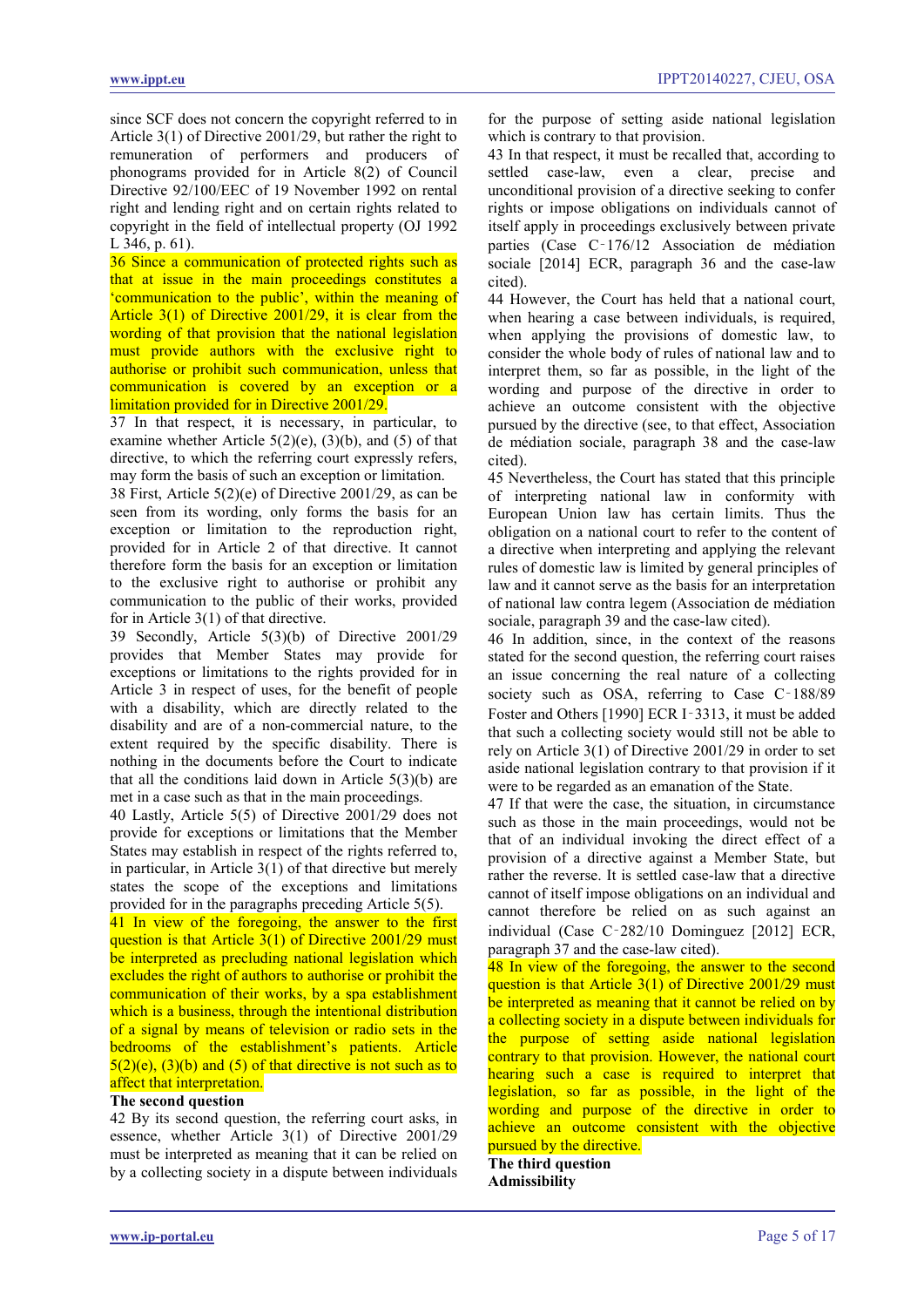since SCF does not concern the copyright referred to in Article 3(1) of Directive 2001/29, but rather the right to remuneration of performers and producers of phonograms provided for in Article 8(2) of Council Directive 92/100/EEC of 19 November 1992 on rental right and lending right and on certain rights related to copyright in the field of intellectual property (OJ 1992 L 346, p. 61).

36 Since a communication of protected rights such as that at issue in the main proceedings constitutes a 'communication to the public', within the meaning of Article 3(1) of Directive 2001/29, it is clear from the wording of that provision that the national legislation must provide authors with the exclusive right to authorise or prohibit such communication, unless that communication is covered by an exception or a limitation provided for in Directive 2001/29.

37 In that respect, it is necessary, in particular, to examine whether Article  $5(2)(e)$ ,  $(3)(b)$ , and  $(5)$  of that directive, to which the referring court expressly refers, may form the basis of such an exception or limitation.

38 First, Article 5(2)(e) of Directive 2001/29, as can be seen from its wording, only forms the basis for an exception or limitation to the reproduction right, provided for in Article 2 of that directive. It cannot therefore form the basis for an exception or limitation to the exclusive right to authorise or prohibit any communication to the public of their works, provided for in Article 3(1) of that directive.

39 Secondly, Article 5(3)(b) of Directive 2001/29 provides that Member States may provide for exceptions or limitations to the rights provided for in Article 3 in respect of uses, for the benefit of people with a disability, which are directly related to the disability and are of a non-commercial nature, to the extent required by the specific disability. There is nothing in the documents before the Court to indicate that all the conditions laid down in Article 5(3)(b) are met in a case such as that in the main proceedings.

40 Lastly, Article 5(5) of Directive 2001/29 does not provide for exceptions or limitations that the Member States may establish in respect of the rights referred to, in particular, in Article  $3(1)$  of that directive but merely states the scope of the exceptions and limitations provided for in the paragraphs preceding Article 5(5).

<span id="page-4-0"></span>41 In view of the foregoing, the answer to the first question is that Article 3(1) of Directive 2001/29 must be interpreted as precluding national legislation which excludes the right of authors to authorise or prohibit the communication of their works, by a spa establishment which is a business, through the intentional distribution of a signal by means of television or radio sets in the bedrooms of the establishment's patients. Article  $5(2)(e)$ ,  $(3)(b)$  and  $(5)$  of that directive is not such as to affect that interpretation.

#### **The second question**

42 By its second question, the referring court asks, in essence, whether Article 3(1) of Directive 2001/29 must be interpreted as meaning that it can be relied on by a collecting society in a dispute between individuals for the purpose of setting aside national legislation which is contrary to that provision.

43 In that respect, it must be recalled that, according to settled case-law, even a clear, precise and unconditional provision of a directive seeking to confer rights or impose obligations on individuals cannot of itself apply in proceedings exclusively between private parties (Case C‑176/12 Association de médiation sociale [2014] ECR, paragraph 36 and the case-law cited).

44 However, the Court has held that a national court, when hearing a case between individuals, is required, when applying the provisions of domestic law, to consider the whole body of rules of national law and to interpret them, so far as possible, in the light of the wording and purpose of the directive in order to achieve an outcome consistent with the objective pursued by the directive (see, to that effect, Association de médiation sociale, paragraph 38 and the case-law cited).

45 Nevertheless, the Court has stated that this principle of interpreting national law in conformity with European Union law has certain limits. Thus the obligation on a national court to refer to the content of a directive when interpreting and applying the relevant rules of domestic law is limited by general principles of law and it cannot serve as the basis for an interpretation of national law contra legem (Association de médiation sociale, paragraph 39 and the case-law cited).

46 In addition, since, in the context of the reasons stated for the second question, the referring court raises an issue concerning the real nature of a collecting society such as OSA, referring to Case C-188/89 Foster and Others [1990] ECR I‑3313, it must be added that such a collecting society would still not be able to rely on Article 3(1) of Directive 2001/29 in order to set aside national legislation contrary to that provision if it were to be regarded as an emanation of the State.

47 If that were the case, the situation, in circumstance such as those in the main proceedings, would not be that of an individual invoking the direct effect of a provision of a directive against a Member State, but rather the reverse. It is settled case-law that a directive cannot of itself impose obligations on an individual and cannot therefore be relied on as such against an individual (Case C‑282/10 Dominguez [2012] ECR, paragraph 37 and the case-law cited).

<span id="page-4-1"></span>48 In view of the foregoing, the answer to the second question is that Article 3(1) of Directive 2001/29 must be interpreted as meaning that it cannot be relied on by a collecting society in a dispute between individuals for the purpose of setting aside national legislation contrary to that provision. However, the national court hearing such a case is required to interpret that legislation, so far as possible, in the light of the wording and purpose of the directive in order to achieve an outcome consistent with the objective pursued by the directive.

# **The third question**

**Admissibility**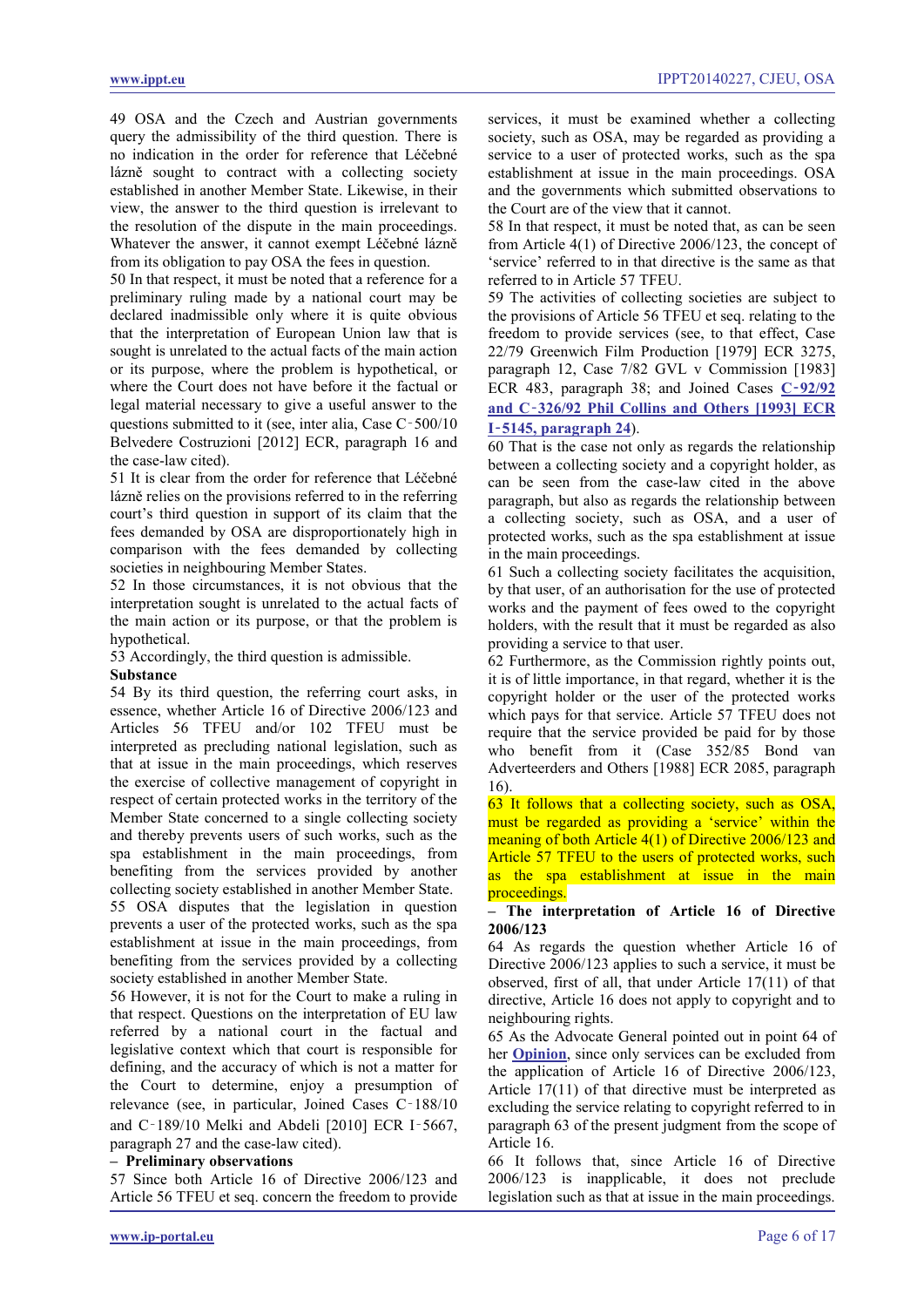49 OSA and the Czech and Austrian governments query the admissibility of the third question. There is no indication in the order for reference that Léčebné lázně sought to contract with a collecting society established in another Member State. Likewise, in their view, the answer to the third question is irrelevant to the resolution of the dispute in the main proceedings. Whatever the answer, it cannot exempt Léčebné lázně from its obligation to pay OSA the fees in question.

50 In that respect, it must be noted that a reference for a preliminary ruling made by a national court may be declared inadmissible only where it is quite obvious that the interpretation of European Union law that is sought is unrelated to the actual facts of the main action or its purpose, where the problem is hypothetical, or where the Court does not have before it the factual or legal material necessary to give a useful answer to the questions submitted to it (see, inter alia, Case C‑500/10 Belvedere Costruzioni [2012] ECR, paragraph 16 and the case-law cited).

51 It is clear from the order for reference that Léčebné lázně relies on the provisions referred to in the referring court's third question in support of its claim that the fees demanded by OSA are disproportionately high in comparison with the fees demanded by collecting societies in neighbouring Member States.

52 In those circumstances, it is not obvious that the interpretation sought is unrelated to the actual facts of the main action or its purpose, or that the problem is hypothetical.

53 Accordingly, the third question is admissible.

#### **Substance**

54 By its third question, the referring court asks, in essence, whether Article 16 of Directive 2006/123 and Articles 56 TFEU and/or 102 TFEU must be interpreted as precluding national legislation, such as that at issue in the main proceedings, which reserves the exercise of collective management of copyright in respect of certain protected works in the territory of the Member State concerned to a single collecting society and thereby prevents users of such works, such as the spa establishment in the main proceedings, from benefiting from the services provided by another collecting society established in another Member State. 55 OSA disputes that the legislation in question prevents a user of the protected works, such as the spa establishment at issue in the main proceedings, from benefiting from the services provided by a collecting society established in another Member State.

56 However, it is not for the Court to make a ruling in that respect. Questions on the interpretation of EU law referred by a national court in the factual and legislative context which that court is responsible for defining, and the accuracy of which is not a matter for the Court to determine, enjoy a presumption of relevance (see, in particular, Joined Cases C‑188/10 and C‑189/10 Melki and Abdeli [2010] ECR I‑5667, paragraph 27 and the case-law cited).

#### **– Preliminary observations**

57 Since both Article 16 of Directive 2006/123 and Article 56 TFEU et seq. concern the freedom to provide services, it must be examined whether a collecting society, such as OSA, may be regarded as providing a service to a user of protected works, such as the spa establishment at issue in the main proceedings. OSA and the governments which submitted observations to the Court are of the view that it cannot.

58 In that respect, it must be noted that, as can be seen from Article 4(1) of Directive 2006/123, the concept of 'service' referred to in that directive is the same as that referred to in Article 57 TFEU.

59 The activities of collecting societies are subject to the provisions of Article 56 TFEU et seq. relating to the freedom to provide services (see, to that effect, Case 22/79 Greenwich Film Production [1979] ECR 3275, paragraph 12, Case 7/82 GVL v Commission [1983] ECR 483, paragraph 38; and Joined Cases **C**‑**[92/92](http://www.ippt.eu/files/1993/IPPT19931020_ECJ_Phil_Collins.pdf)  and C**‑**[326/92 Phil Collins and Others \[1993\] ECR](http://www.ippt.eu/files/1993/IPPT19931020_ECJ_Phil_Collins.pdf)  I**‑**[5145, paragraph 24](http://www.ippt.eu/files/1993/IPPT19931020_ECJ_Phil_Collins.pdf)**).

60 That is the case not only as regards the relationship between a collecting society and a copyright holder, as can be seen from the case-law cited in the above paragraph, but also as regards the relationship between a collecting society, such as OSA, and a user of protected works, such as the spa establishment at issue in the main proceedings.

61 Such a collecting society facilitates the acquisition, by that user, of an authorisation for the use of protected works and the payment of fees owed to the copyright holders, with the result that it must be regarded as also providing a service to that user.

62 Furthermore, as the Commission rightly points out, it is of little importance, in that regard, whether it is the copyright holder or the user of the protected works which pays for that service. Article 57 TFEU does not require that the service provided be paid for by those who benefit from it (Case 352/85 Bond van Adverteerders and Others [1988] ECR 2085, paragraph 16).

<span id="page-5-0"></span>63 It follows that a collecting society, such as OSA, must be regarded as providing a 'service' within the meaning of both Article 4(1) of Directive 2006/123 and Article 57 TFEU to the users of protected works, such as the spa establishment at issue in the main proceedings.

#### **– The interpretation of Article 16 of Directive 2006/123**

64 As regards the question whether Article 16 of Directive 2006/123 applies to such a service, it must be observed, first of all, that under Article 17(11) of that directive, Article 16 does not apply to copyright and to neighbouring rights.

65 As the Advocate General pointed out in point 64 of her **[Opinion](#page-8-0)**, since only services can be excluded from the application of Article 16 of Directive 2006/123, Article 17(11) of that directive must be interpreted as excluding the service relating to copyright referred to in paragraph 63 of the present judgment from the scope of Article 16.

66 It follows that, since Article 16 of Directive 2006/123 is inapplicable, it does not preclude legislation such as that at issue in the main proceedings.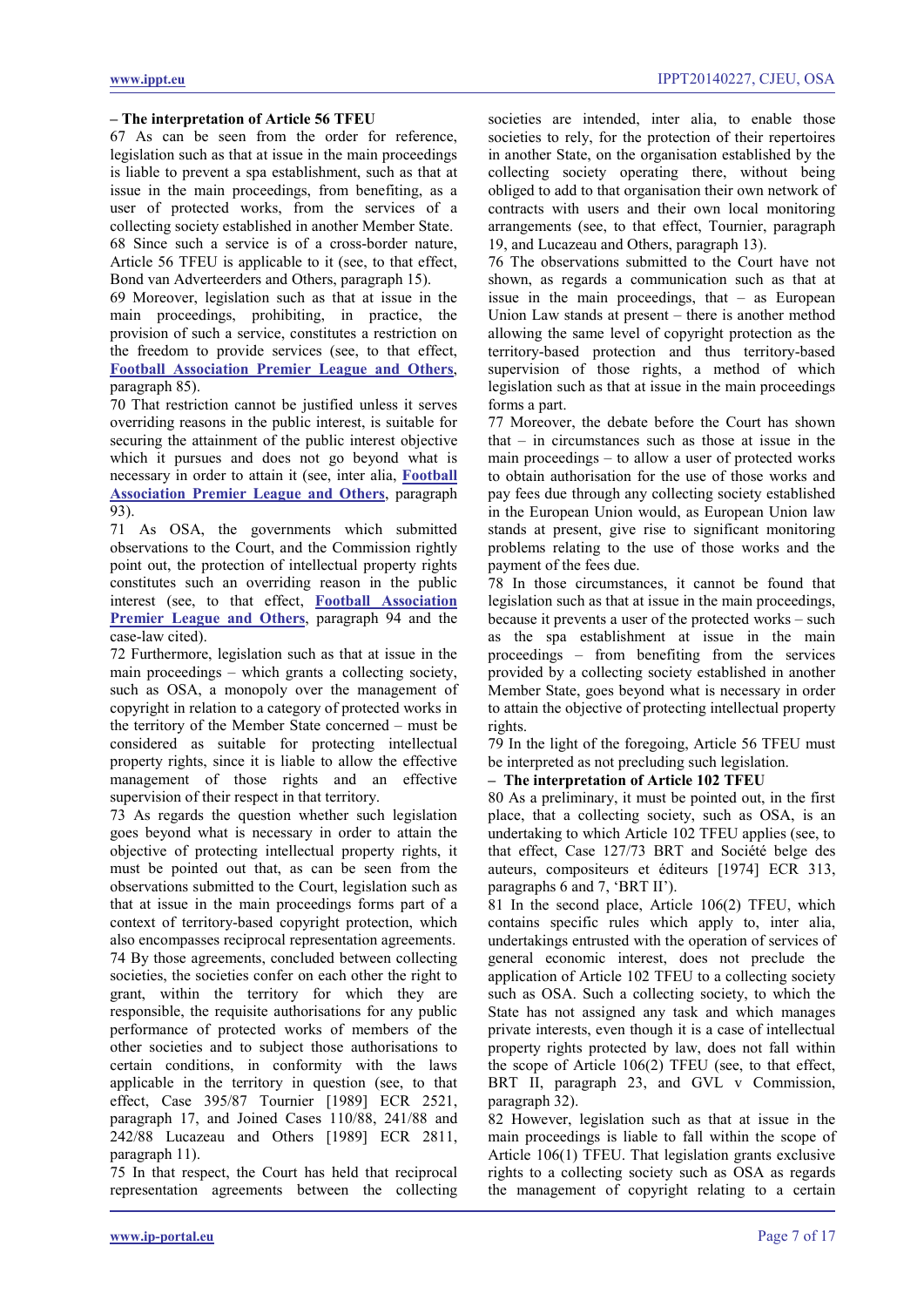#### **– The interpretation of Article 56 TFEU**

67 As can be seen from the order for reference, legislation such as that at issue in the main proceedings is liable to prevent a spa establishment, such as that at issue in the main proceedings, from benefiting, as a user of protected works, from the services of a collecting society established in another Member State. 68 Since such a service is of a cross-border nature, Article 56 TFEU is applicable to it (see, to that effect, Bond van Adverteerders and Others, paragraph 15).

69 Moreover, legislation such as that at issue in the main proceedings, prohibiting, in practice, the provision of such a service, constitutes a restriction on the freedom to provide services (see, to that effect, **[Football Association Premier League and Others](http://www.ippt.eu/files/2011/IPPT20111004_ECJ_Premier_League.pdf)**, paragraph 85).

70 That restriction cannot be justified unless it serves overriding reasons in the public interest, is suitable for securing the attainment of the public interest objective which it pursues and does not go beyond what is necessary in order to attain it (see, inter alia, **[Football](http://www.ippt.eu/files/2011/IPPT20111004_ECJ_Premier_League.pdf)  [Association Premier League and Others](http://www.ippt.eu/files/2011/IPPT20111004_ECJ_Premier_League.pdf)**, paragraph 93).

71 As OSA, the governments which submitted observations to the Court, and the Commission rightly point out, the protection of intellectual property rights constitutes such an overriding reason in the public interest (see, to that effect, **[Football Association](http://www.ippt.eu/files/2011/IPPT20111004_ECJ_Premier_League.pdf)  [Premier League and Others](http://www.ippt.eu/files/2011/IPPT20111004_ECJ_Premier_League.pdf)**, paragraph 94 and the case-law cited).

72 Furthermore, legislation such as that at issue in the main proceedings – which grants a collecting society, such as OSA, a monopoly over the management of copyright in relation to a category of protected works in the territory of the Member State concerned – must be considered as suitable for protecting intellectual property rights, since it is liable to allow the effective management of those rights and an effective supervision of their respect in that territory.

73 As regards the question whether such legislation goes beyond what is necessary in order to attain the objective of protecting intellectual property rights, it must be pointed out that, as can be seen from the observations submitted to the Court, legislation such as that at issue in the main proceedings forms part of a context of territory-based copyright protection, which also encompasses reciprocal representation agreements. 74 By those agreements, concluded between collecting societies, the societies confer on each other the right to grant, within the territory for which they are responsible, the requisite authorisations for any public performance of protected works of members of the other societies and to subject those authorisations to certain conditions, in conformity with the laws applicable in the territory in question (see, to that effect, Case 395/87 Tournier [1989] ECR 2521, paragraph 17, and Joined Cases 110/88, 241/88 and 242/88 Lucazeau and Others [1989] ECR 2811, paragraph 11).

75 In that respect, the Court has held that reciprocal representation agreements between the collecting societies are intended, inter alia, to enable those societies to rely, for the protection of their repertoires in another State, on the organisation established by the collecting society operating there, without being obliged to add to that organisation their own network of contracts with users and their own local monitoring arrangements (see, to that effect, Tournier, paragraph 19, and Lucazeau and Others, paragraph 13).

76 The observations submitted to the Court have not shown, as regards a communication such as that at issue in the main proceedings, that – as European Union Law stands at present – there is another method allowing the same level of copyright protection as the territory-based protection and thus territory-based supervision of those rights, a method of which legislation such as that at issue in the main proceedings forms a part.

77 Moreover, the debate before the Court has shown that – in circumstances such as those at issue in the main proceedings – to allow a user of protected works to obtain authorisation for the use of those works and pay fees due through any collecting society established in the European Union would, as European Union law stands at present, give rise to significant monitoring problems relating to the use of those works and the payment of the fees due.

78 In those circumstances, it cannot be found that legislation such as that at issue in the main proceedings, because it prevents a user of the protected works – such as the spa establishment at issue in the main proceedings – from benefiting from the services provided by a collecting society established in another Member State, goes beyond what is necessary in order to attain the objective of protecting intellectual property rights.

79 In the light of the foregoing, Article 56 TFEU must be interpreted as not precluding such legislation.

# **– The interpretation of Article 102 TFEU**

80 As a preliminary, it must be pointed out, in the first place, that a collecting society, such as OSA, is an undertaking to which Article 102 TFEU applies (see, to that effect, Case 127/73 BRT and Société belge des auteurs, compositeurs et éditeurs [1974] ECR 313, paragraphs 6 and 7, 'BRT II').

81 In the second place, Article 106(2) TFEU, which contains specific rules which apply to, inter alia, undertakings entrusted with the operation of services of general economic interest, does not preclude the application of Article 102 TFEU to a collecting society such as OSA. Such a collecting society, to which the State has not assigned any task and which manages private interests, even though it is a case of intellectual property rights protected by law, does not fall within the scope of Article 106(2) TFEU (see, to that effect, BRT II, paragraph 23, and GVL v Commission, paragraph 32).

82 However, legislation such as that at issue in the main proceedings is liable to fall within the scope of Article 106(1) TFEU. That legislation grants exclusive rights to a collecting society such as OSA as regards the management of copyright relating to a certain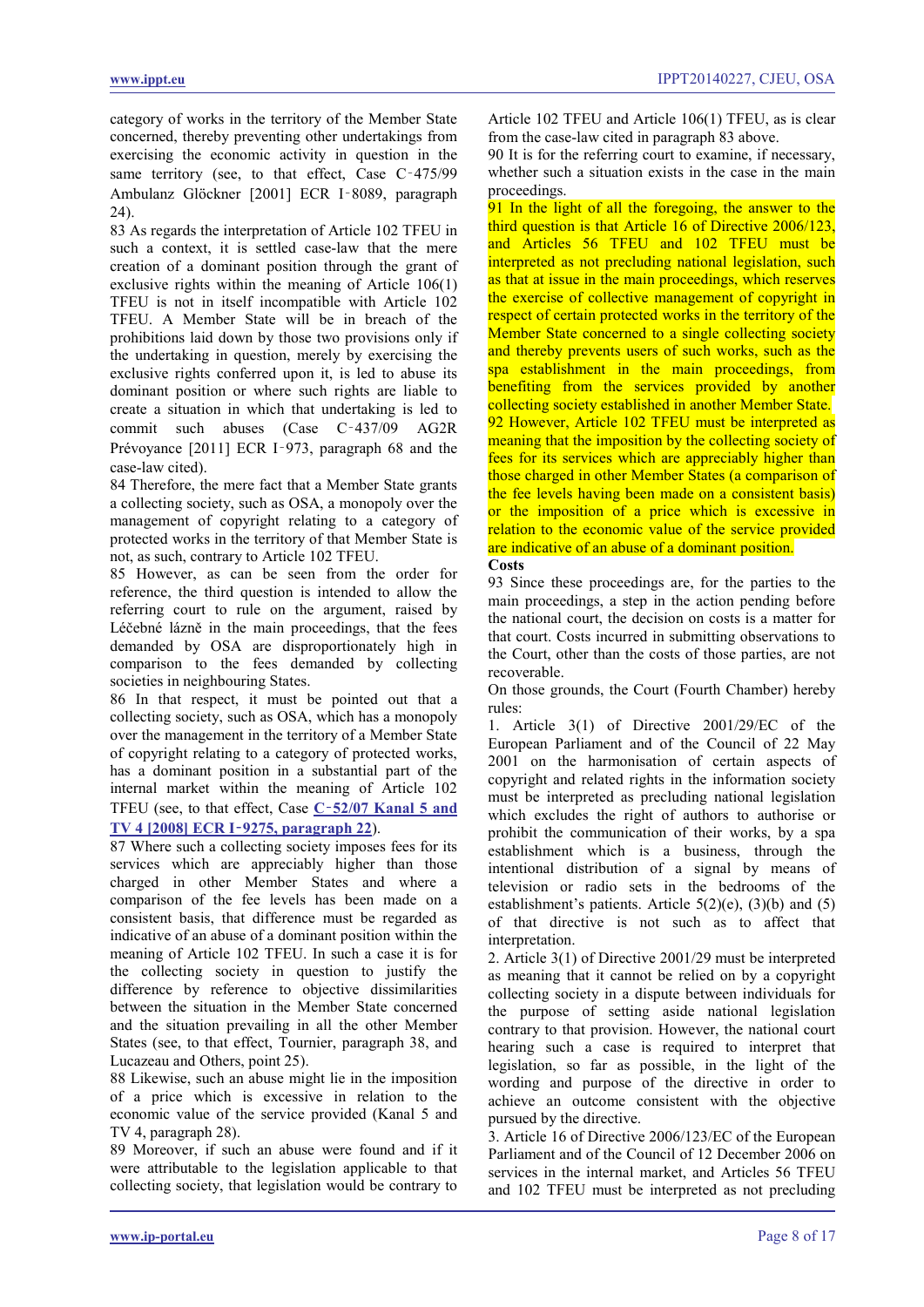category of works in the territory of the Member State concerned, thereby preventing other undertakings from exercising the economic activity in question in the same territory (see, to that effect, Case C-475/99 Ambulanz Glöckner [2001] ECR I‑8089, paragraph 24).

83 As regards the interpretation of Article 102 TFEU in such a context, it is settled case-law that the mere creation of a dominant position through the grant of exclusive rights within the meaning of Article 106(1) TFEU is not in itself incompatible with Article 102 TFEU. A Member State will be in breach of the prohibitions laid down by those two provisions only if the undertaking in question, merely by exercising the exclusive rights conferred upon it, is led to abuse its dominant position or where such rights are liable to create a situation in which that undertaking is led to commit such abuses (Case C‑437/09 AG2R Prévoyance [2011] ECR I‑973, paragraph 68 and the case-law cited).

84 Therefore, the mere fact that a Member State grants a collecting society, such as OSA, a monopoly over the management of copyright relating to a category of protected works in the territory of that Member State is not, as such, contrary to Article 102 TFEU.

85 However, as can be seen from the order for reference, the third question is intended to allow the referring court to rule on the argument, raised by Léčebné lázně in the main proceedings, that the fees demanded by OSA are disproportionately high in comparison to the fees demanded by collecting societies in neighbouring States.

86 In that respect, it must be pointed out that a collecting society, such as OSA, which has a monopoly over the management in the territory of a Member State of copyright relating to a category of protected works, has a dominant position in a substantial part of the internal market within the meaning of Article 102 TFEU (see, to that effect, Case **C**‑**[52/07 Kanal 5 and](http://www.ippt.eu/files/2008/IPPT20081211_ECJ_Kanal_5_and_TV_4_v_STIM.pdf)  TV 4 [2008] ECR I**‑**[9275, paragraph 22](http://www.ippt.eu/files/2008/IPPT20081211_ECJ_Kanal_5_and_TV_4_v_STIM.pdf)**).

87 Where such a collecting society imposes fees for its services which are appreciably higher than those charged in other Member States and where a comparison of the fee levels has been made on a consistent basis, that difference must be regarded as indicative of an abuse of a dominant position within the meaning of Article 102 TFEU. In such a case it is for the collecting society in question to justify the difference by reference to objective dissimilarities between the situation in the Member State concerned and the situation prevailing in all the other Member States (see, to that effect, Tournier, paragraph 38, and Lucazeau and Others, point 25).

88 Likewise, such an abuse might lie in the imposition of a price which is excessive in relation to the economic value of the service provided (Kanal 5 and TV 4, paragraph 28).

89 Moreover, if such an abuse were found and if it were attributable to the legislation applicable to that collecting society, that legislation would be contrary to Article 102 TFEU and Article 106(1) TFEU, as is clear from the case-law cited in paragraph 83 above.

90 It is for the referring court to examine, if necessary, whether such a situation exists in the case in the main proceedings.

<span id="page-7-0"></span>91 In the light of all the foregoing, the answer to the third question is that Article 16 of Directive 2006/123, and Articles 56 TFEU and 102 TFEU must be interpreted as not precluding national legislation, such as that at issue in the main proceedings, which reserves the exercise of collective management of copyright in respect of certain protected works in the territory of the Member State concerned to a single collecting society and thereby prevents users of such works, such as the spa establishment in the main proceedings, from benefiting from the services provided by another collecting society established in another Member State. 92 However, Article 102 TFEU must be interpreted as meaning that the imposition by the collecting society of fees for its services which are appreciably higher than those charged in other Member States (a comparison of the fee levels having been made on a consistent basis) or the imposition of a price which is excessive in relation to the economic value of the service provided are indicative of an abuse of a dominant position.

<span id="page-7-1"></span>**Costs**

93 Since these proceedings are, for the parties to the main proceedings, a step in the action pending before the national court, the decision on costs is a matter for that court. Costs incurred in submitting observations to the Court, other than the costs of those parties, are not recoverable.

On those grounds, the Court (Fourth Chamber) hereby rules:

1. Article 3(1) of Directive 2001/29/EC of the European Parliament and of the Council of 22 May 2001 on the harmonisation of certain aspects of copyright and related rights in the information society must be interpreted as precluding national legislation which excludes the right of authors to authorise or prohibit the communication of their works, by a spa establishment which is a business, through the intentional distribution of a signal by means of television or radio sets in the bedrooms of the establishment's patients. Article  $5(2)(e)$ ,  $(3)(b)$  and  $(5)$ of that directive is not such as to affect that interpretation.

2. Article 3(1) of Directive 2001/29 must be interpreted as meaning that it cannot be relied on by a copyright collecting society in a dispute between individuals for the purpose of setting aside national legislation contrary to that provision. However, the national court hearing such a case is required to interpret that legislation, so far as possible, in the light of the wording and purpose of the directive in order to achieve an outcome consistent with the objective pursued by the directive.

3. Article 16 of Directive 2006/123/EC of the European Parliament and of the Council of 12 December 2006 on services in the internal market, and Articles 56 TFEU and 102 TFEU must be interpreted as not precluding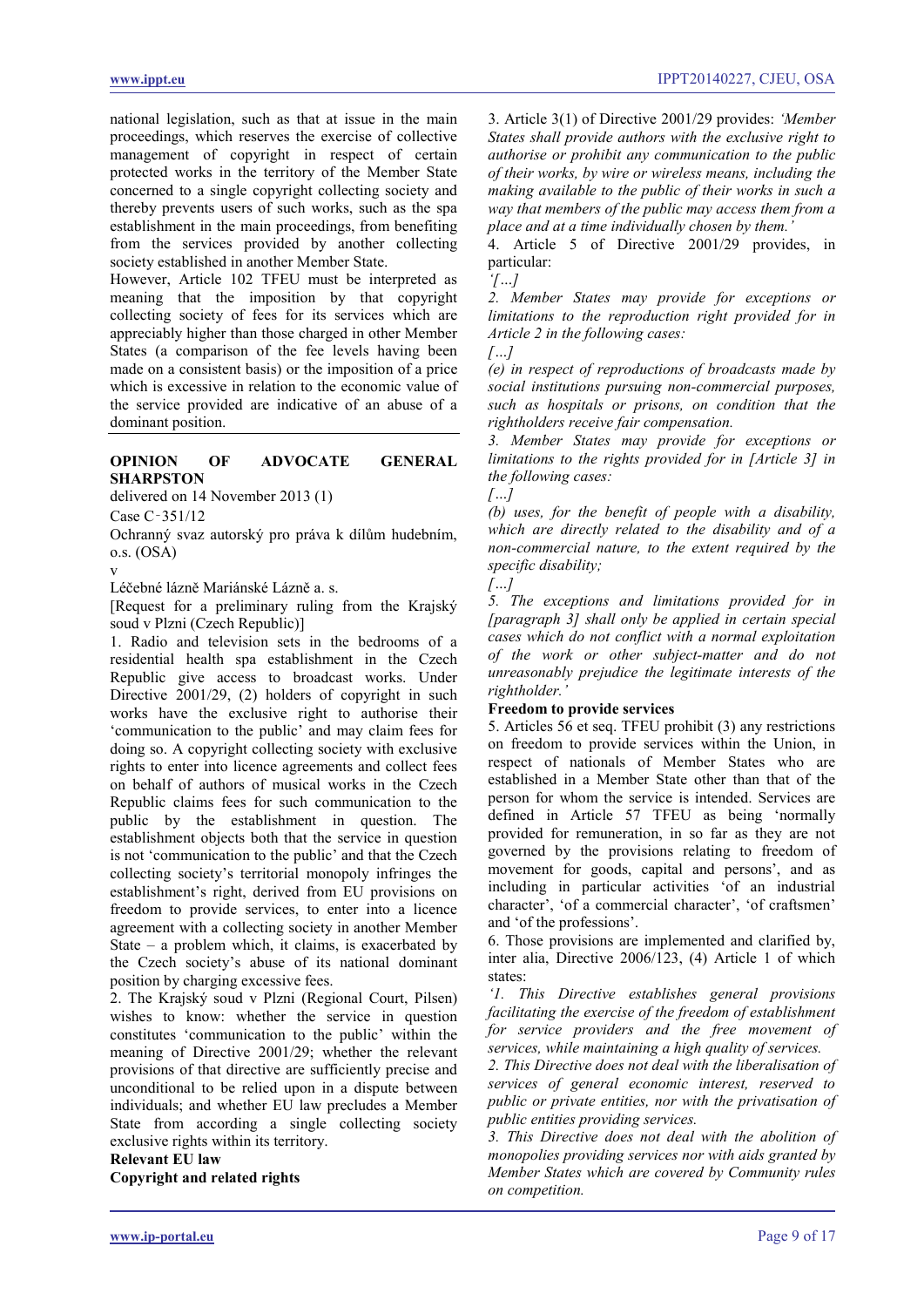national legislation, such as that at issue in the main proceedings, which reserves the exercise of collective management of copyright in respect of certain protected works in the territory of the Member State concerned to a single copyright collecting society and thereby prevents users of such works, such as the spa establishment in the main proceedings, from benefiting from the services provided by another collecting society established in another Member State.

However, Article 102 TFEU must be interpreted as meaning that the imposition by that copyright collecting society of fees for its services which are appreciably higher than those charged in other Member States (a comparison of the fee levels having been made on a consistent basis) or the imposition of a price which is excessive in relation to the economic value of the service provided are indicative of an abuse of a dominant position.

#### <span id="page-8-0"></span>**OPINION OF ADVOCATE GENERAL SHARPSTON**

delivered on 14 November 2013 (1)

Case C‑351/12

Ochranný svaz autorský pro práva k dílům hudebním, o.s. (OSA)

v

Léčebné lázně Mariánské Lázně a. s.

[Request for a preliminary ruling from the Krajský soud v Plzni (Czech Republic)]

1. Radio and television sets in the bedrooms of a residential health spa establishment in the Czech Republic give access to broadcast works. Under Directive 2001/29, (2) holders of copyright in such works have the exclusive right to authorise their 'communication to the public' and may claim fees for doing so. A copyright collecting society with exclusive rights to enter into licence agreements and collect fees on behalf of authors of musical works in the Czech Republic claims fees for such communication to the public by the establishment in question. The establishment objects both that the service in question is not 'communication to the public' and that the Czech collecting society's territorial monopoly infringes the establishment's right, derived from EU provisions on freedom to provide services, to enter into a licence agreement with a collecting society in another Member State – a problem which, it claims, is exacerbated by the Czech society's abuse of its national dominant position by charging excessive fees.

2. The Krajský soud v Plzni (Regional Court, Pilsen) wishes to know: whether the service in question constitutes 'communication to the public' within the meaning of Directive 2001/29; whether the relevant provisions of that directive are sufficiently precise and unconditional to be relied upon in a dispute between individuals; and whether EU law precludes a Member State from according a single collecting society exclusive rights within its territory.

# **Relevant EU law**

**Copyright and related rights**

3. Article 3(1) of Directive 2001/29 provides: *'Member States shall provide authors with the exclusive right to authorise or prohibit any communication to the public of their works, by wire or wireless means, including the making available to the public of their works in such a way that members of the public may access them from a place and at a time individually chosen by them.'*

4. Article 5 of Directive 2001/29 provides, in particular:

*'[…]*

*2. Member States may provide for exceptions or limitations to the reproduction right provided for in Article 2 in the following cases: […]*

*(e) in respect of reproductions of broadcasts made by social institutions pursuing non-commercial purposes, such as hospitals or prisons, on condition that the rightholders receive fair compensation.*

*3. Member States may provide for exceptions or limitations to the rights provided for in [Article 3] in the following cases:*

*[…]*

*(b) uses, for the benefit of people with a disability, which are directly related to the disability and of a non-commercial nature, to the extent required by the specific disability;*

*[…]*

*5. The exceptions and limitations provided for in [paragraph 3] shall only be applied in certain special cases which do not conflict with a normal exploitation of the work or other subject-matter and do not unreasonably prejudice the legitimate interests of the rightholder.'*

#### **Freedom to provide services**

5. Articles 56 et seq. TFEU prohibit (3) any restrictions on freedom to provide services within the Union, in respect of nationals of Member States who are established in a Member State other than that of the person for whom the service is intended. Services are defined in Article 57 TFEU as being 'normally provided for remuneration, in so far as they are not governed by the provisions relating to freedom of movement for goods, capital and persons', and as including in particular activities 'of an industrial character', 'of a commercial character', 'of craftsmen' and 'of the professions'.

6. Those provisions are implemented and clarified by, inter alia, Directive 2006/123, (4) Article 1 of which states:

*'1. This Directive establishes general provisions facilitating the exercise of the freedom of establishment for service providers and the free movement of services, while maintaining a high quality of services.*

*2. This Directive does not deal with the liberalisation of services of general economic interest, reserved to public or private entities, nor with the privatisation of public entities providing services.*

*3. This Directive does not deal with the abolition of monopolies providing services nor with aids granted by Member States which are covered by Community rules on competition.*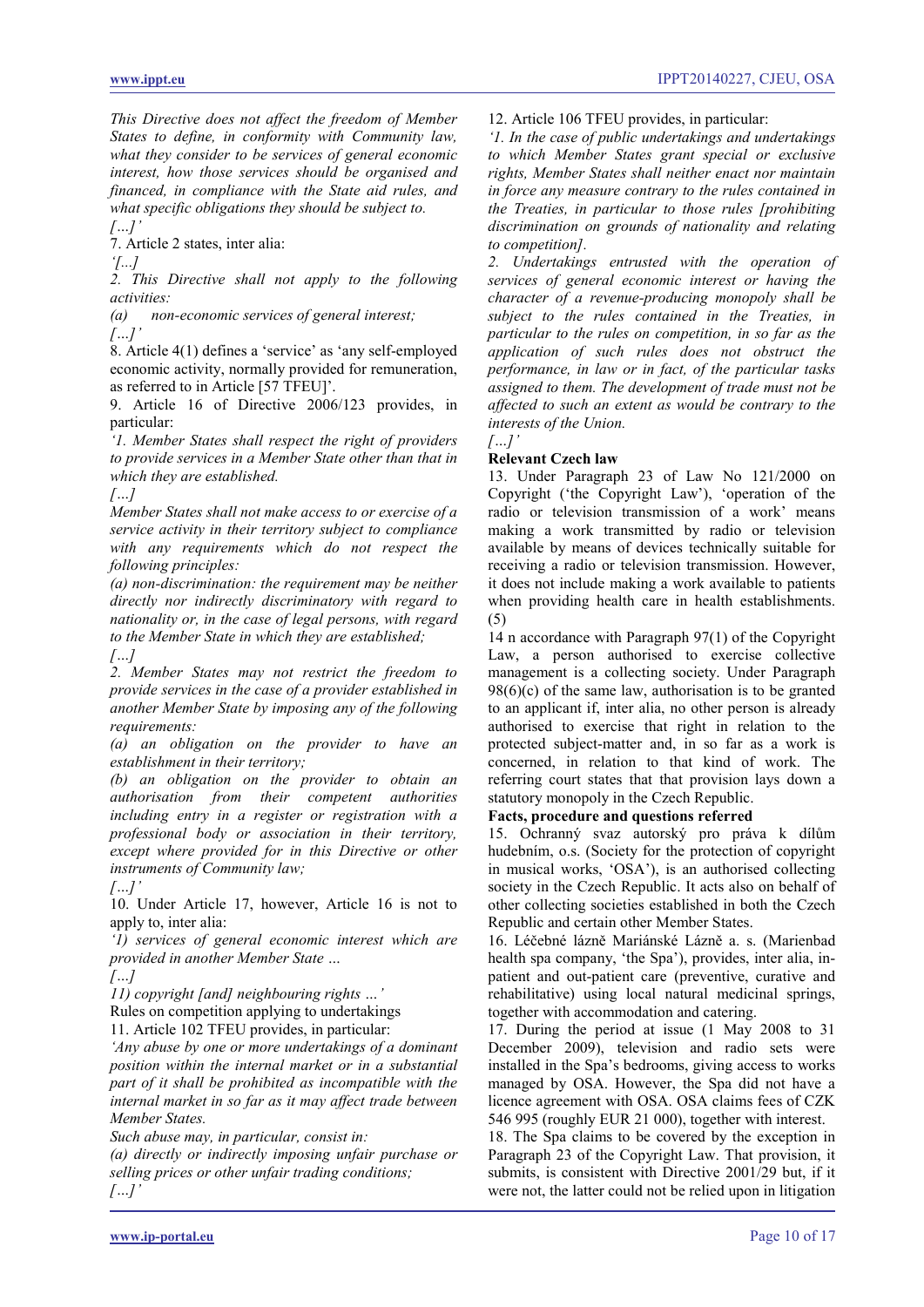*This Directive does not affect the freedom of Member States to define, in conformity with Community law, what they consider to be services of general economic interest, how those services should be organised and financed, in compliance with the State aid rules, and what specific obligations they should be subject to.*

*[…]'* 7. Article 2 states, inter alia:

*'[...]*

*2. This Directive shall not apply to the following activities:*

*(a) non-economic services of general interest; […]'*

8. Article 4(1) defines a 'service' as 'any self-employed economic activity, normally provided for remuneration, as referred to in Article [57 TFEU]'.

9. Article 16 of Directive 2006/123 provides, in particular:

*'1. Member States shall respect the right of providers to provide services in a Member State other than that in which they are established.*

*[…]*

*Member States shall not make access to or exercise of a service activity in their territory subject to compliance with any requirements which do not respect the following principles:*

*(a) non-discrimination: the requirement may be neither directly nor indirectly discriminatory with regard to nationality or, in the case of legal persons, with regard to the Member State in which they are established; […]*

*2. Member States may not restrict the freedom to provide services in the case of a provider established in another Member State by imposing any of the following requirements:*

*(a) an obligation on the provider to have an establishment in their territory;*

*(b) an obligation on the provider to obtain an authorisation from their competent authorities including entry in a register or registration with a professional body or association in their territory, except where provided for in this Directive or other instruments of Community law;*

*[…]'*

10. Under Article 17, however, Article 16 is not to apply to, inter alia:

*'1) services of general economic interest which are provided in another Member State …*

*[…]*

*11) copyright [and] neighbouring rights …'*

Rules on competition applying to undertakings

11. Article 102 TFEU provides, in particular:

*'Any abuse by one or more undertakings of a dominant position within the internal market or in a substantial part of it shall be prohibited as incompatible with the internal market in so far as it may affect trade between Member States.*

*Such abuse may, in particular, consist in:*

*(a) directly or indirectly imposing unfair purchase or selling prices or other unfair trading conditions; […]'*

12. Article 106 TFEU provides, in particular:

*'1. In the case of public undertakings and undertakings to which Member States grant special or exclusive rights, Member States shall neither enact nor maintain in force any measure contrary to the rules contained in the Treaties, in particular to those rules [prohibiting discrimination on grounds of nationality and relating to competition].*

*2. Undertakings entrusted with the operation of services of general economic interest or having the character of a revenue-producing monopoly shall be subject to the rules contained in the Treaties, in particular to the rules on competition, in so far as the application of such rules does not obstruct the performance, in law or in fact, of the particular tasks assigned to them. The development of trade must not be affected to such an extent as would be contrary to the interests of the Union.*

#### *[…]'* **Relevant Czech law**

13. Under Paragraph 23 of Law No 121/2000 on Copyright ('the Copyright Law'), 'operation of the radio or television transmission of a work' means making a work transmitted by radio or television available by means of devices technically suitable for receiving a radio or television transmission. However, it does not include making a work available to patients when providing health care in health establishments. (5)

14 n accordance with Paragraph 97(1) of the Copyright Law, a person authorised to exercise collective management is a collecting society. Under Paragraph  $98(6)(c)$  of the same law, authorisation is to be granted to an applicant if, inter alia, no other person is already authorised to exercise that right in relation to the protected subject-matter and, in so far as a work is concerned, in relation to that kind of work. The referring court states that that provision lays down a statutory monopoly in the Czech Republic.

# **Facts, procedure and questions referred**

15. Ochranný svaz autorský pro práva k dílům hudebním, o.s. (Society for the protection of copyright in musical works, 'OSA'), is an authorised collecting society in the Czech Republic. It acts also on behalf of other collecting societies established in both the Czech Republic and certain other Member States.

16. Léčebné lázně Mariánské Lázně a. s. (Marienbad health spa company, 'the Spa'), provides, inter alia, inpatient and out-patient care (preventive, curative and rehabilitative) using local natural medicinal springs, together with accommodation and catering.

17. During the period at issue (1 May 2008 to 31 December 2009), television and radio sets were installed in the Spa's bedrooms, giving access to works managed by OSA. However, the Spa did not have a licence agreement with OSA. OSA claims fees of CZK 546 995 (roughly EUR 21 000), together with interest.

18. The Spa claims to be covered by the exception in Paragraph 23 of the Copyright Law. That provision, it submits, is consistent with Directive 2001/29 but, if it were not, the latter could not be relied upon in litigation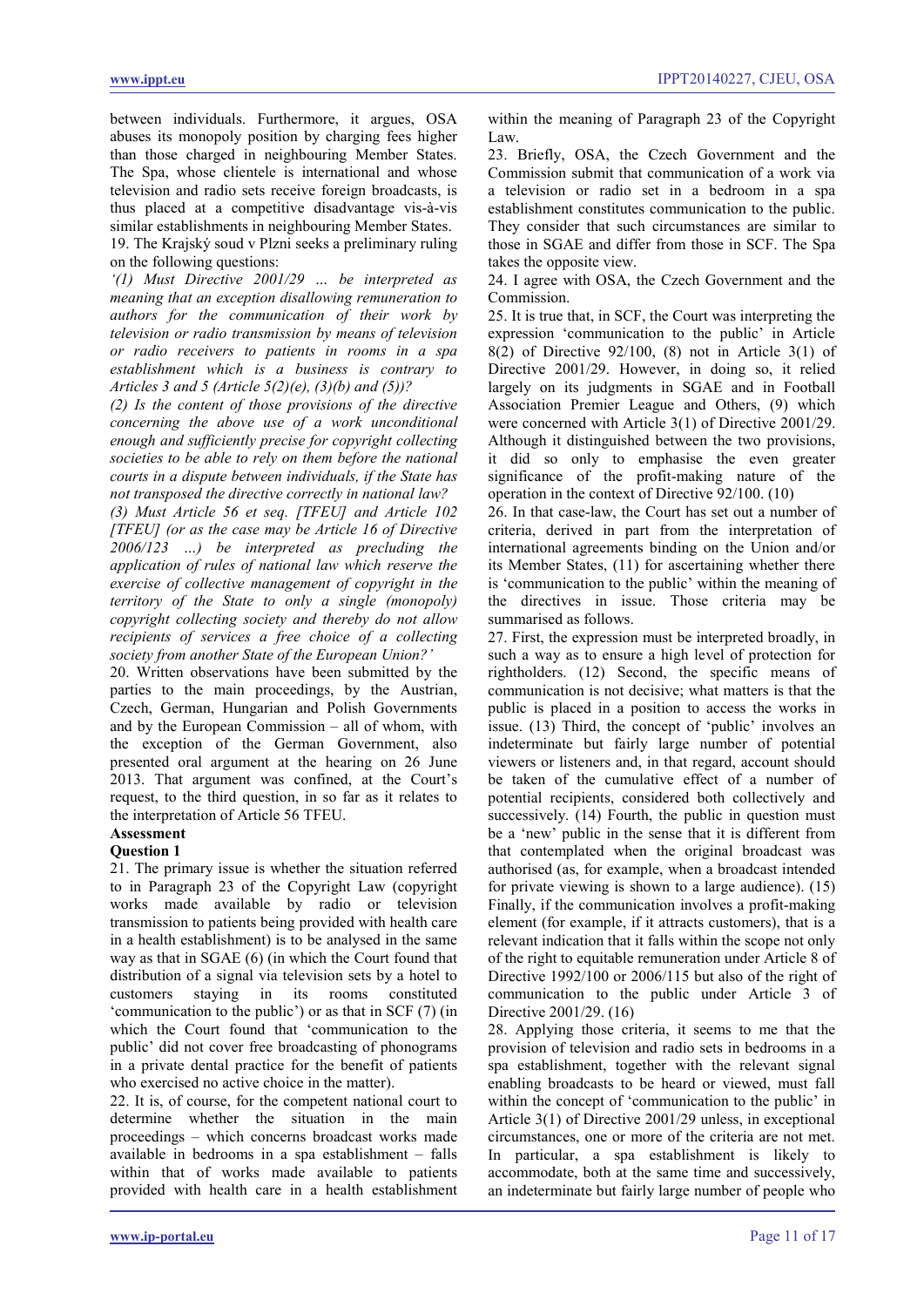between individuals. Furthermore, it argues, OSA abuses its monopoly position by charging fees higher than those charged in neighbouring Member States. The Spa, whose clientele is international and whose television and radio sets receive foreign broadcasts, is thus placed at a competitive disadvantage vis-à-vis similar establishments in neighbouring Member States.

19. The Krajský soud v Plzni seeks a preliminary ruling on the following questions:

*'(1) Must Directive 2001/29 … be interpreted as meaning that an exception disallowing remuneration to authors for the communication of their work by television or radio transmission by means of television or radio receivers to patients in rooms in a spa establishment which is a business is contrary to Articles 3 and 5 (Article 5(2)(e), (3)(b) and (5))?*

*(2) Is the content of those provisions of the directive concerning the above use of a work unconditional enough and sufficiently precise for copyright collecting societies to be able to rely on them before the national courts in a dispute between individuals, if the State has not transposed the directive correctly in national law?*

*(3) Must Article 56 et seq. [TFEU] and Article 102 [TFEU] (or as the case may be Article 16 of Directive 2006/123 …) be interpreted as precluding the application of rules of national law which reserve the exercise of collective management of copyright in the territory of the State to only a single (monopoly) copyright collecting society and thereby do not allow recipients of services a free choice of a collecting society from another State of the European Union?'*

20. Written observations have been submitted by the parties to the main proceedings, by the Austrian, Czech, German, Hungarian and Polish Governments and by the European Commission – all of whom, with the exception of the German Government, also presented oral argument at the hearing on 26 June 2013. That argument was confined, at the Court's request, to the third question, in so far as it relates to the interpretation of Article 56 TFEU.

# **Assessment**

# **Question 1**

21. The primary issue is whether the situation referred to in Paragraph 23 of the Copyright Law (copyright works made available by radio or television transmission to patients being provided with health care in a health establishment) is to be analysed in the same way as that in SGAE (6) (in which the Court found that distribution of a signal via television sets by a hotel to customers staying in its rooms constituted 'communication to the public') or as that in SCF (7) (in which the Court found that 'communication to the public' did not cover free broadcasting of phonograms in a private dental practice for the benefit of patients who exercised no active choice in the matter).

22. It is, of course, for the competent national court to determine whether the situation in the main proceedings – which concerns broadcast works made available in bedrooms in a spa establishment – falls within that of works made available to patients provided with health care in a health establishment within the meaning of Paragraph 23 of the Copyright Law.

23. Briefly, OSA, the Czech Government and the Commission submit that communication of a work via a television or radio set in a bedroom in a spa establishment constitutes communication to the public. They consider that such circumstances are similar to those in SGAE and differ from those in SCF. The Spa takes the opposite view.

24. I agree with OSA, the Czech Government and the Commission.

25. It is true that, in SCF, the Court was interpreting the expression 'communication to the public' in Article 8(2) of Directive 92/100, (8) not in Article 3(1) of Directive 2001/29. However, in doing so, it relied largely on its judgments in SGAE and in Football Association Premier League and Others, (9) which were concerned with Article 3(1) of Directive 2001/29. Although it distinguished between the two provisions, it did so only to emphasise the even greater significance of the profit-making nature of the operation in the context of Directive 92/100. (10)

26. In that case-law, the Court has set out a number of criteria, derived in part from the interpretation of international agreements binding on the Union and/or its Member States, (11) for ascertaining whether there is 'communication to the public' within the meaning of the directives in issue. Those criteria may be summarised as follows.

27. First, the expression must be interpreted broadly, in such a way as to ensure a high level of protection for rightholders. (12) Second, the specific means of communication is not decisive; what matters is that the public is placed in a position to access the works in issue. (13) Third, the concept of 'public' involves an indeterminate but fairly large number of potential viewers or listeners and, in that regard, account should be taken of the cumulative effect of a number of potential recipients, considered both collectively and successively. (14) Fourth, the public in question must be a 'new' public in the sense that it is different from that contemplated when the original broadcast was authorised (as, for example, when a broadcast intended for private viewing is shown to a large audience). (15) Finally, if the communication involves a profit-making element (for example, if it attracts customers), that is a relevant indication that it falls within the scope not only of the right to equitable remuneration under Article 8 of Directive 1992/100 or 2006/115 but also of the right of communication to the public under Article 3 of Directive 2001/29. (16)

28. Applying those criteria, it seems to me that the provision of television and radio sets in bedrooms in a spa establishment, together with the relevant signal enabling broadcasts to be heard or viewed, must fall within the concept of 'communication to the public' in Article 3(1) of Directive 2001/29 unless, in exceptional circumstances, one or more of the criteria are not met. In particular, a spa establishment is likely to accommodate, both at the same time and successively, an indeterminate but fairly large number of people who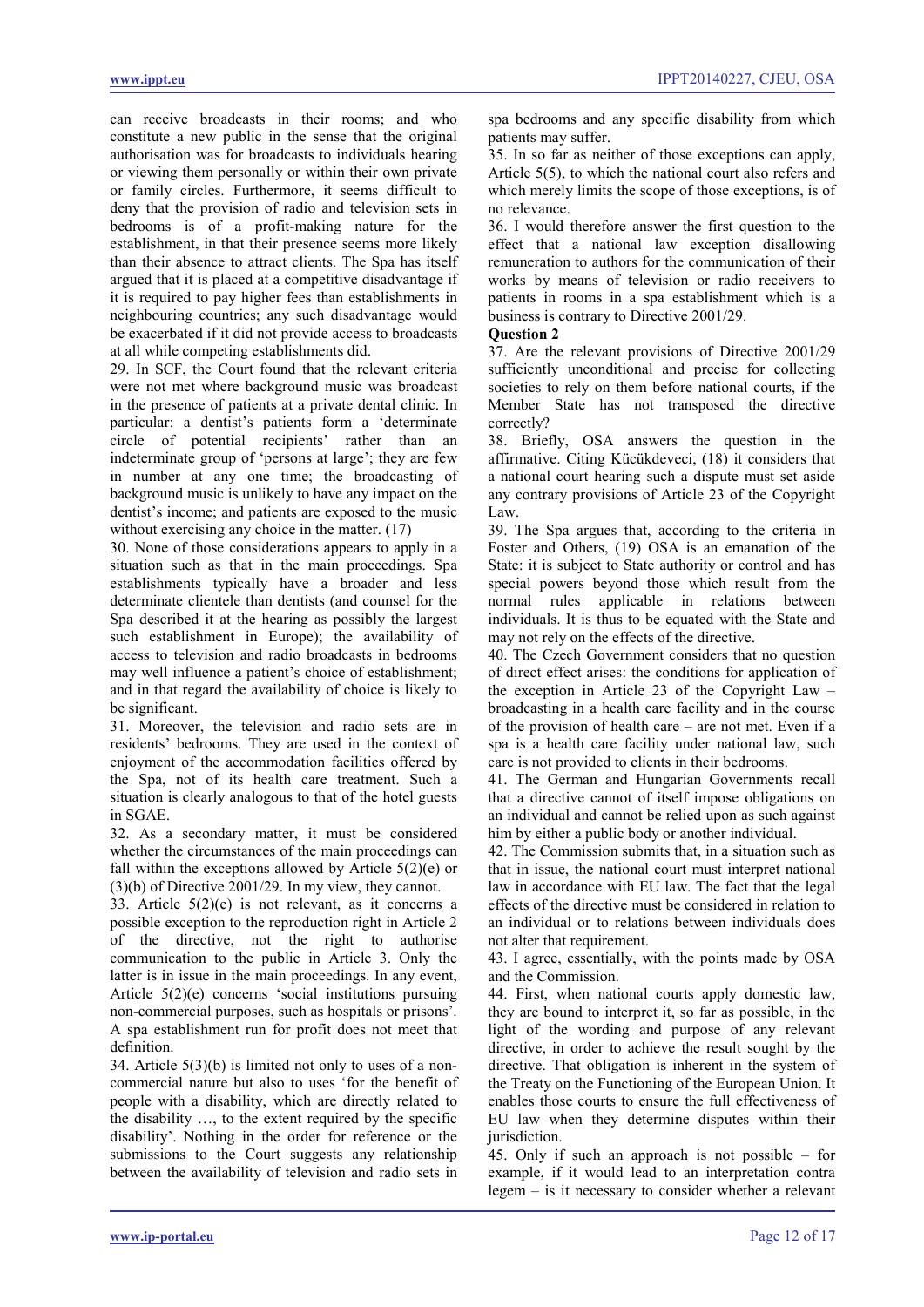can receive broadcasts in their rooms; and who constitute a new public in the sense that the original authorisation was for broadcasts to individuals hearing or viewing them personally or within their own private or family circles. Furthermore, it seems difficult to deny that the provision of radio and television sets in bedrooms is of a profit-making nature for the establishment, in that their presence seems more likely than their absence to attract clients. The Spa has itself argued that it is placed at a competitive disadvantage if it is required to pay higher fees than establishments in neighbouring countries; any such disadvantage would be exacerbated if it did not provide access to broadcasts at all while competing establishments did.

29. In SCF, the Court found that the relevant criteria were not met where background music was broadcast in the presence of patients at a private dental clinic. In particular: a dentist's patients form a 'determinate circle of potential recipients' rather than an indeterminate group of 'persons at large'; they are few in number at any one time; the broadcasting of background music is unlikely to have any impact on the dentist's income; and patients are exposed to the music without exercising any choice in the matter.  $(17)$ 

30. None of those considerations appears to apply in a situation such as that in the main proceedings. Spa establishments typically have a broader and less determinate clientele than dentists (and counsel for the Spa described it at the hearing as possibly the largest such establishment in Europe); the availability of access to television and radio broadcasts in bedrooms may well influence a patient's choice of establishment; and in that regard the availability of choice is likely to be significant.

31. Moreover, the television and radio sets are in residents' bedrooms. They are used in the context of enjoyment of the accommodation facilities offered by the Spa, not of its health care treatment. Such a situation is clearly analogous to that of the hotel guests in SGAE.

32. As a secondary matter, it must be considered whether the circumstances of the main proceedings can fall within the exceptions allowed by Article  $5(2)(e)$  or (3)(b) of Directive 2001/29. In my view, they cannot.

33. Article 5(2)(e) is not relevant, as it concerns a possible exception to the reproduction right in Article 2 of the directive, not the right to authorise communication to the public in Article 3. Only the latter is in issue in the main proceedings. In any event, Article 5(2)(e) concerns 'social institutions pursuing non-commercial purposes, such as hospitals or prisons'. A spa establishment run for profit does not meet that definition.

34. Article 5(3)(b) is limited not only to uses of a noncommercial nature but also to uses 'for the benefit of people with a disability, which are directly related to the disability …, to the extent required by the specific disability'. Nothing in the order for reference or the submissions to the Court suggests any relationship between the availability of television and radio sets in

spa bedrooms and any specific disability from which patients may suffer.

35. In so far as neither of those exceptions can apply, Article 5(5), to which the national court also refers and which merely limits the scope of those exceptions, is of no relevance.

36. I would therefore answer the first question to the effect that a national law exception disallowing remuneration to authors for the communication of their works by means of television or radio receivers to patients in rooms in a spa establishment which is a business is contrary to Directive 2001/29.

### **Question 2**

37. Are the relevant provisions of Directive 2001/29 sufficiently unconditional and precise for collecting societies to rely on them before national courts, if the Member State has not transposed the directive correctly?

38. Briefly, OSA answers the question in the affirmative. Citing Kücükdeveci, (18) it considers that a national court hearing such a dispute must set aside any contrary provisions of Article 23 of the Copyright Law.

39. The Spa argues that, according to the criteria in Foster and Others, (19) OSA is an emanation of the State: it is subject to State authority or control and has special powers beyond those which result from the normal rules applicable in relations between individuals. It is thus to be equated with the State and may not rely on the effects of the directive.

40. The Czech Government considers that no question of direct effect arises: the conditions for application of the exception in Article 23 of the Copyright Law – broadcasting in a health care facility and in the course of the provision of health care – are not met. Even if a spa is a health care facility under national law, such care is not provided to clients in their bedrooms.

41. The German and Hungarian Governments recall that a directive cannot of itself impose obligations on an individual and cannot be relied upon as such against him by either a public body or another individual.

42. The Commission submits that, in a situation such as that in issue, the national court must interpret national law in accordance with EU law. The fact that the legal effects of the directive must be considered in relation to an individual or to relations between individuals does not alter that requirement.

43. I agree, essentially, with the points made by OSA and the Commission.

44. First, when national courts apply domestic law, they are bound to interpret it, so far as possible, in the light of the wording and purpose of any relevant directive, in order to achieve the result sought by the directive. That obligation is inherent in the system of the Treaty on the Functioning of the European Union. It enables those courts to ensure the full effectiveness of EU law when they determine disputes within their jurisdiction.

45. Only if such an approach is not possible – for example, if it would lead to an interpretation contra legem – is it necessary to consider whether a relevant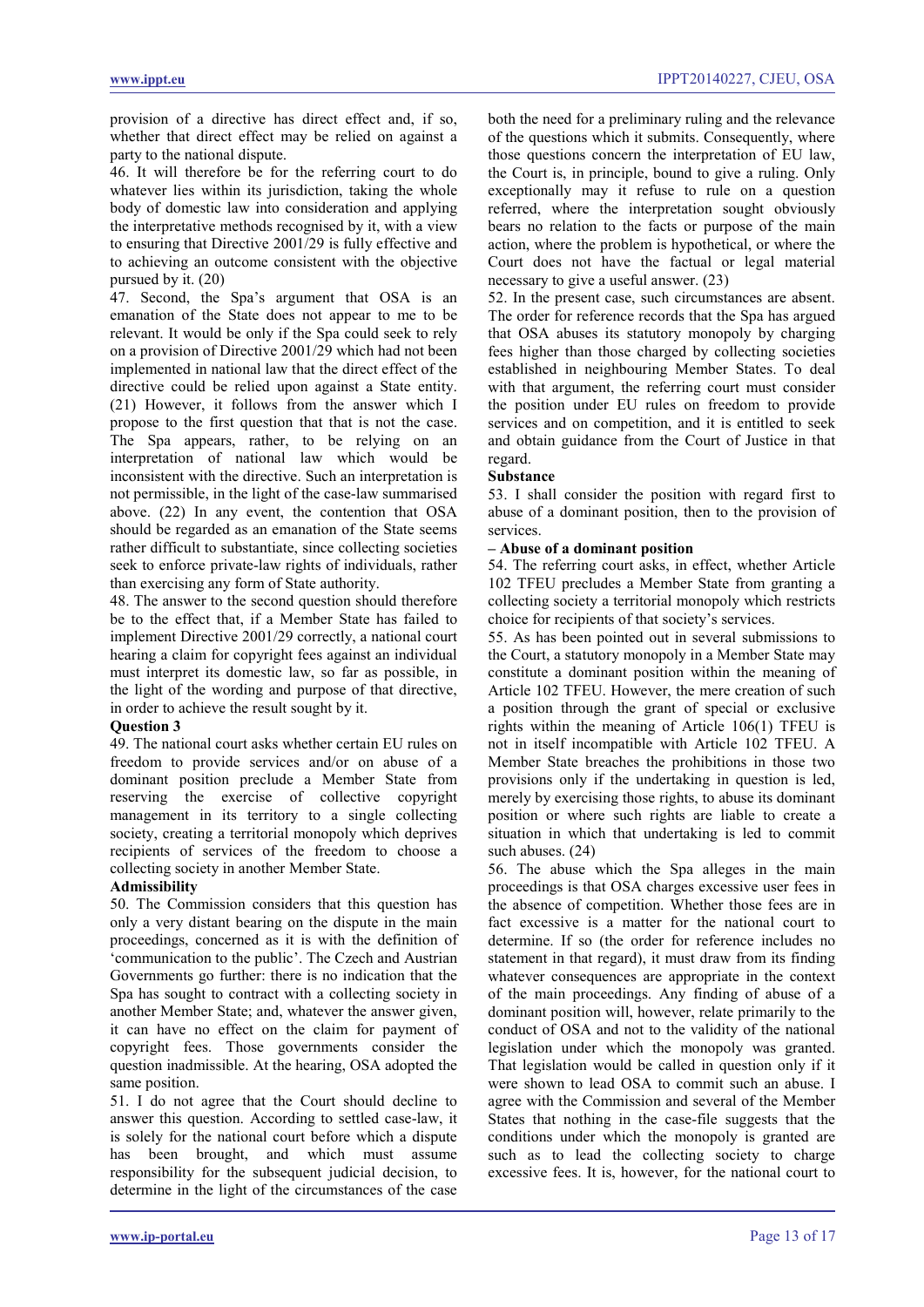provision of a directive has direct effect and, if so, whether that direct effect may be relied on against a party to the national dispute.

46. It will therefore be for the referring court to do whatever lies within its jurisdiction, taking the whole body of domestic law into consideration and applying the interpretative methods recognised by it, with a view to ensuring that Directive 2001/29 is fully effective and to achieving an outcome consistent with the objective pursued by it. (20)

47. Second, the Spa's argument that OSA is an emanation of the State does not appear to me to be relevant. It would be only if the Spa could seek to rely on a provision of Directive 2001/29 which had not been implemented in national law that the direct effect of the directive could be relied upon against a State entity. (21) However, it follows from the answer which I propose to the first question that that is not the case. The Spa appears, rather, to be relying on an interpretation of national law which would be inconsistent with the directive. Such an interpretation is not permissible, in the light of the case-law summarised above. (22) In any event, the contention that OSA should be regarded as an emanation of the State seems rather difficult to substantiate, since collecting societies seek to enforce private-law rights of individuals, rather than exercising any form of State authority.

48. The answer to the second question should therefore be to the effect that, if a Member State has failed to implement Directive 2001/29 correctly, a national court hearing a claim for copyright fees against an individual must interpret its domestic law, so far as possible, in the light of the wording and purpose of that directive, in order to achieve the result sought by it.

# **Question 3**

49. The national court asks whether certain EU rules on freedom to provide services and/or on abuse of a dominant position preclude a Member State from reserving the exercise of collective copyright management in its territory to a single collecting society, creating a territorial monopoly which deprives recipients of services of the freedom to choose a collecting society in another Member State.

#### **Admissibility**

50. The Commission considers that this question has only a very distant bearing on the dispute in the main proceedings, concerned as it is with the definition of 'communication to the public'. The Czech and Austrian Governments go further: there is no indication that the Spa has sought to contract with a collecting society in another Member State; and, whatever the answer given, it can have no effect on the claim for payment of copyright fees. Those governments consider the question inadmissible. At the hearing, OSA adopted the same position.

51. I do not agree that the Court should decline to answer this question. According to settled case-law, it is solely for the national court before which a dispute has been brought, and which must assume responsibility for the subsequent judicial decision, to determine in the light of the circumstances of the case both the need for a preliminary ruling and the relevance of the questions which it submits. Consequently, where those questions concern the interpretation of EU law, the Court is, in principle, bound to give a ruling. Only exceptionally may it refuse to rule on a question referred, where the interpretation sought obviously bears no relation to the facts or purpose of the main action, where the problem is hypothetical, or where the Court does not have the factual or legal material necessary to give a useful answer. (23)

52. In the present case, such circumstances are absent. The order for reference records that the Spa has argued that OSA abuses its statutory monopoly by charging fees higher than those charged by collecting societies established in neighbouring Member States. To deal with that argument, the referring court must consider the position under EU rules on freedom to provide services and on competition, and it is entitled to seek and obtain guidance from the Court of Justice in that regard.

#### **Substance**

53. I shall consider the position with regard first to abuse of a dominant position, then to the provision of services.

#### **– Abuse of a dominant position**

54. The referring court asks, in effect, whether Article 102 TFEU precludes a Member State from granting a collecting society a territorial monopoly which restricts choice for recipients of that society's services.

55. As has been pointed out in several submissions to the Court, a statutory monopoly in a Member State may constitute a dominant position within the meaning of Article 102 TFEU. However, the mere creation of such a position through the grant of special or exclusive rights within the meaning of Article 106(1) TFEU is not in itself incompatible with Article 102 TFEU. A Member State breaches the prohibitions in those two provisions only if the undertaking in question is led, merely by exercising those rights, to abuse its dominant position or where such rights are liable to create a situation in which that undertaking is led to commit such abuses. (24)

56. The abuse which the Spa alleges in the main proceedings is that OSA charges excessive user fees in the absence of competition. Whether those fees are in fact excessive is a matter for the national court to determine. If so (the order for reference includes no statement in that regard), it must draw from its finding whatever consequences are appropriate in the context of the main proceedings. Any finding of abuse of a dominant position will, however, relate primarily to the conduct of OSA and not to the validity of the national legislation under which the monopoly was granted. That legislation would be called in question only if it were shown to lead OSA to commit such an abuse. I agree with the Commission and several of the Member States that nothing in the case-file suggests that the conditions under which the monopoly is granted are such as to lead the collecting society to charge excessive fees. It is, however, for the national court to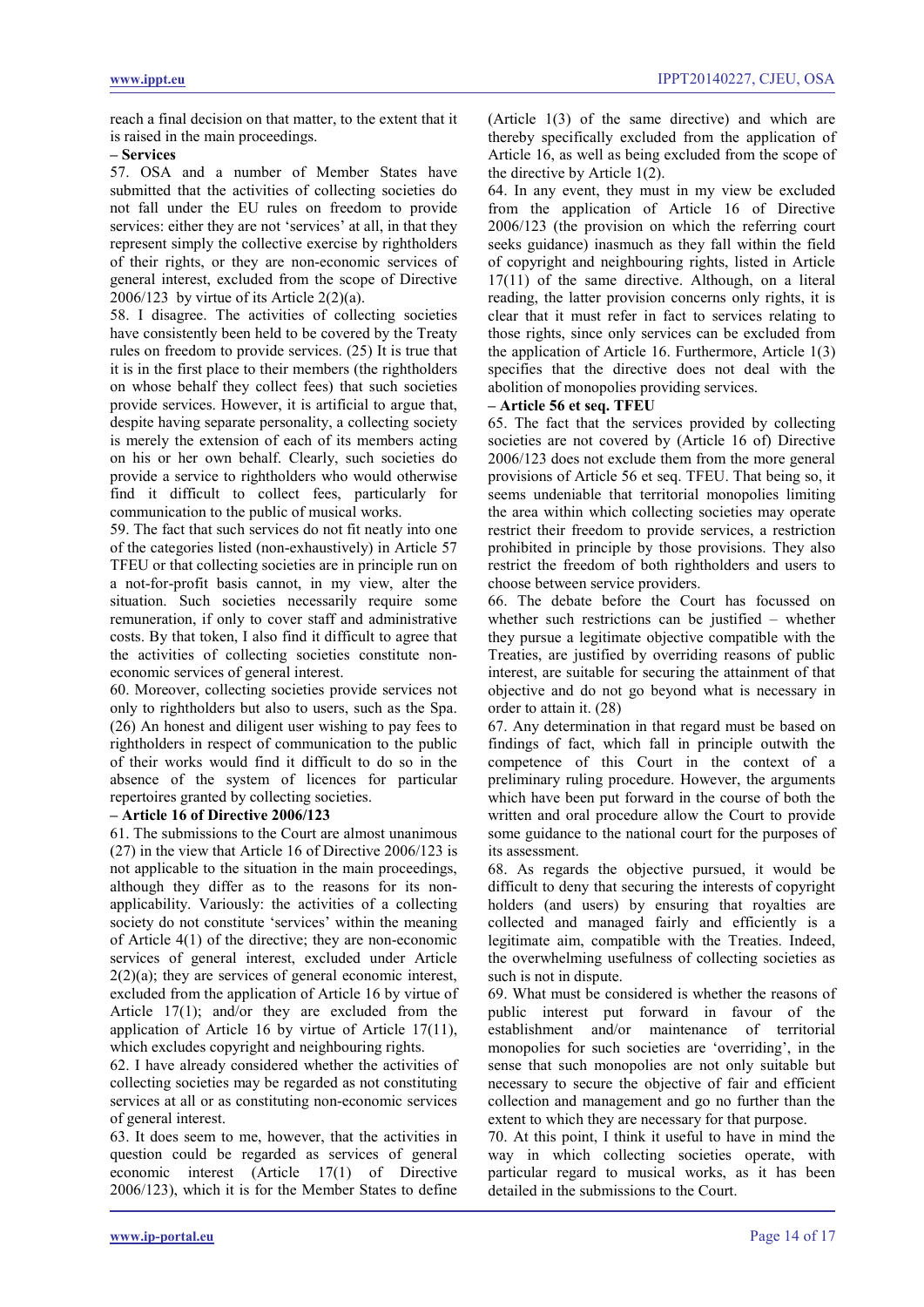reach a final decision on that matter, to the extent that it is raised in the main proceedings.

#### **– Services**

57. OSA and a number of Member States have submitted that the activities of collecting societies do not fall under the EU rules on freedom to provide services: either they are not 'services' at all, in that they represent simply the collective exercise by rightholders of their rights, or they are non-economic services of general interest, excluded from the scope of Directive 2006/123 by virtue of its Article  $2(2)(a)$ .

58. I disagree. The activities of collecting societies have consistently been held to be covered by the Treaty rules on freedom to provide services. (25) It is true that it is in the first place to their members (the rightholders on whose behalf they collect fees) that such societies provide services. However, it is artificial to argue that, despite having separate personality, a collecting society is merely the extension of each of its members acting on his or her own behalf. Clearly, such societies do provide a service to rightholders who would otherwise find it difficult to collect fees, particularly for communication to the public of musical works.

59. The fact that such services do not fit neatly into one of the categories listed (non-exhaustively) in Article 57 TFEU or that collecting societies are in principle run on a not-for-profit basis cannot, in my view, alter the situation. Such societies necessarily require some remuneration, if only to cover staff and administrative costs. By that token, I also find it difficult to agree that the activities of collecting societies constitute noneconomic services of general interest.

60. Moreover, collecting societies provide services not only to rightholders but also to users, such as the Spa. (26) An honest and diligent user wishing to pay fees to rightholders in respect of communication to the public of their works would find it difficult to do so in the absence of the system of licences for particular repertoires granted by collecting societies.

# **– Article 16 of Directive 2006/123**

61. The submissions to the Court are almost unanimous (27) in the view that Article 16 of Directive 2006/123 is not applicable to the situation in the main proceedings, although they differ as to the reasons for its nonapplicability. Variously: the activities of a collecting society do not constitute 'services' within the meaning of Article 4(1) of the directive; they are non-economic services of general interest, excluded under Article  $2(2)(a)$ ; they are services of general economic interest, excluded from the application of Article 16 by virtue of Article 17(1); and/or they are excluded from the application of Article 16 by virtue of Article 17(11), which excludes copyright and neighbouring rights.

62. I have already considered whether the activities of collecting societies may be regarded as not constituting services at all or as constituting non-economic services of general interest.

63. It does seem to me, however, that the activities in question could be regarded as services of general economic interest (Article 17(1) of Directive 2006/123), which it is for the Member States to define (Article 1(3) of the same directive) and which are thereby specifically excluded from the application of Article 16, as well as being excluded from the scope of the directive by Article 1(2).

64. In any event, they must in my view be excluded from the application of Article 16 of Directive 2006/123 (the provision on which the referring court seeks guidance) inasmuch as they fall within the field of copyright and neighbouring rights, listed in Article 17(11) of the same directive. Although, on a literal reading, the latter provision concerns only rights, it is clear that it must refer in fact to services relating to those rights, since only services can be excluded from the application of Article 16. Furthermore, Article 1(3) specifies that the directive does not deal with the abolition of monopolies providing services.

# **– Article 56 et seq. TFEU**

65. The fact that the services provided by collecting societies are not covered by (Article 16 of) Directive 2006/123 does not exclude them from the more general provisions of Article 56 et seq. TFEU. That being so, it seems undeniable that territorial monopolies limiting the area within which collecting societies may operate restrict their freedom to provide services, a restriction prohibited in principle by those provisions. They also restrict the freedom of both rightholders and users to choose between service providers.

66. The debate before the Court has focussed on whether such restrictions can be justified – whether they pursue a legitimate objective compatible with the Treaties, are justified by overriding reasons of public interest, are suitable for securing the attainment of that objective and do not go beyond what is necessary in order to attain it. (28)

67. Any determination in that regard must be based on findings of fact, which fall in principle outwith the competence of this Court in the context of a preliminary ruling procedure. However, the arguments which have been put forward in the course of both the written and oral procedure allow the Court to provide some guidance to the national court for the purposes of its assessment.

68. As regards the objective pursued, it would be difficult to deny that securing the interests of copyright holders (and users) by ensuring that royalties are collected and managed fairly and efficiently is a legitimate aim, compatible with the Treaties. Indeed, the overwhelming usefulness of collecting societies as such is not in dispute.

69. What must be considered is whether the reasons of public interest put forward in favour of the establishment and/or maintenance of territorial monopolies for such societies are 'overriding', in the sense that such monopolies are not only suitable but necessary to secure the objective of fair and efficient collection and management and go no further than the extent to which they are necessary for that purpose.

70. At this point, I think it useful to have in mind the way in which collecting societies operate, with particular regard to musical works, as it has been detailed in the submissions to the Court.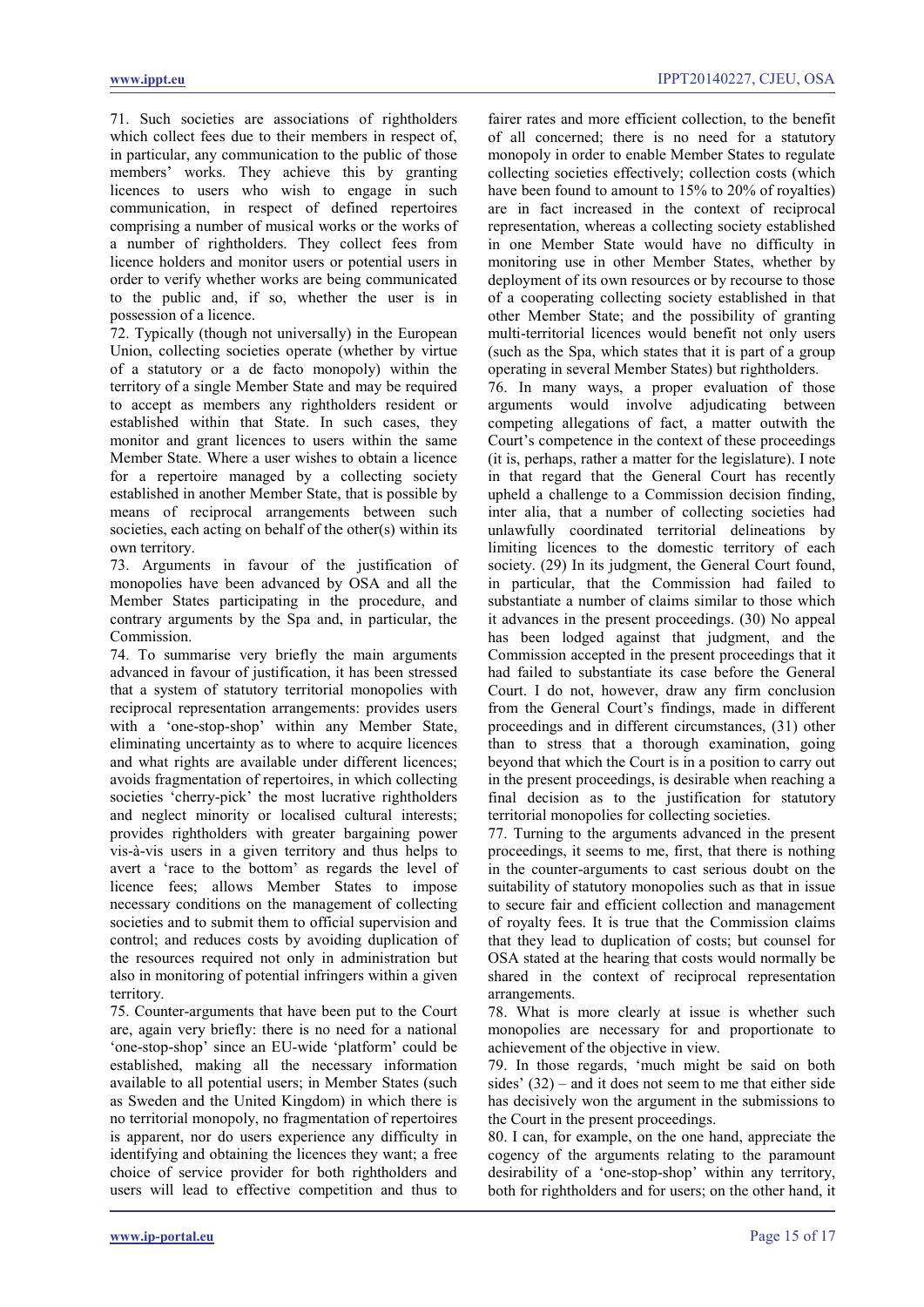71. Such societies are associations of rightholders which collect fees due to their members in respect of, in particular, any communication to the public of those members' works. They achieve this by granting licences to users who wish to engage in such communication, in respect of defined repertoires comprising a number of musical works or the works of a number of rightholders. They collect fees from licence holders and monitor users or potential users in order to verify whether works are being communicated to the public and, if so, whether the user is in possession of a licence.

72. Typically (though not universally) in the European Union, collecting societies operate (whether by virtue of a statutory or a de facto monopoly) within the territory of a single Member State and may be required to accept as members any rightholders resident or established within that State. In such cases, they monitor and grant licences to users within the same Member State. Where a user wishes to obtain a licence for a repertoire managed by a collecting society established in another Member State, that is possible by means of reciprocal arrangements between such societies, each acting on behalf of the other(s) within its own territory.

73. Arguments in favour of the justification of monopolies have been advanced by OSA and all the Member States participating in the procedure, and contrary arguments by the Spa and, in particular, the Commission.

74. To summarise very briefly the main arguments advanced in favour of justification, it has been stressed that a system of statutory territorial monopolies with reciprocal representation arrangements: provides users with a 'one-stop-shop' within any Member State, eliminating uncertainty as to where to acquire licences and what rights are available under different licences; avoids fragmentation of repertoires, in which collecting societies 'cherry-pick' the most lucrative rightholders and neglect minority or localised cultural interests; provides rightholders with greater bargaining power vis-à-vis users in a given territory and thus helps to avert a 'race to the bottom' as regards the level of licence fees; allows Member States to impose necessary conditions on the management of collecting societies and to submit them to official supervision and control; and reduces costs by avoiding duplication of the resources required not only in administration but also in monitoring of potential infringers within a given territory.

75. Counter-arguments that have been put to the Court are, again very briefly: there is no need for a national 'one-stop-shop' since an EU-wide 'platform' could be established, making all the necessary information available to all potential users; in Member States (such as Sweden and the United Kingdom) in which there is no territorial monopoly, no fragmentation of repertoires is apparent, nor do users experience any difficulty in identifying and obtaining the licences they want; a free choice of service provider for both rightholders and users will lead to effective competition and thus to

fairer rates and more efficient collection, to the benefit of all concerned; there is no need for a statutory monopoly in order to enable Member States to regulate collecting societies effectively; collection costs (which have been found to amount to 15% to 20% of royalties) are in fact increased in the context of reciprocal representation, whereas a collecting society established in one Member State would have no difficulty in monitoring use in other Member States, whether by deployment of its own resources or by recourse to those of a cooperating collecting society established in that other Member State; and the possibility of granting multi-territorial licences would benefit not only users (such as the Spa, which states that it is part of a group operating in several Member States) but rightholders.

76. In many ways, a proper evaluation of those arguments would involve adjudicating between competing allegations of fact, a matter outwith the Court's competence in the context of these proceedings (it is, perhaps, rather a matter for the legislature). I note in that regard that the General Court has recently upheld a challenge to a Commission decision finding, inter alia, that a number of collecting societies had unlawfully coordinated territorial delineations by limiting licences to the domestic territory of each society. (29) In its judgment, the General Court found, in particular, that the Commission had failed to substantiate a number of claims similar to those which it advances in the present proceedings. (30) No appeal has been lodged against that judgment, and the Commission accepted in the present proceedings that it had failed to substantiate its case before the General Court. I do not, however, draw any firm conclusion from the General Court's findings, made in different proceedings and in different circumstances, (31) other than to stress that a thorough examination, going beyond that which the Court is in a position to carry out in the present proceedings, is desirable when reaching a final decision as to the justification for statutory territorial monopolies for collecting societies.

77. Turning to the arguments advanced in the present proceedings, it seems to me, first, that there is nothing in the counter-arguments to cast serious doubt on the suitability of statutory monopolies such as that in issue to secure fair and efficient collection and management of royalty fees. It is true that the Commission claims that they lead to duplication of costs; but counsel for OSA stated at the hearing that costs would normally be shared in the context of reciprocal representation arrangements.

78. What is more clearly at issue is whether such monopolies are necessary for and proportionate to achievement of the objective in view.

79. In those regards, 'much might be said on both sides' (32) – and it does not seem to me that either side has decisively won the argument in the submissions to the Court in the present proceedings.

80. I can, for example, on the one hand, appreciate the cogency of the arguments relating to the paramount desirability of a 'one-stop-shop' within any territory, both for rightholders and for users; on the other hand, it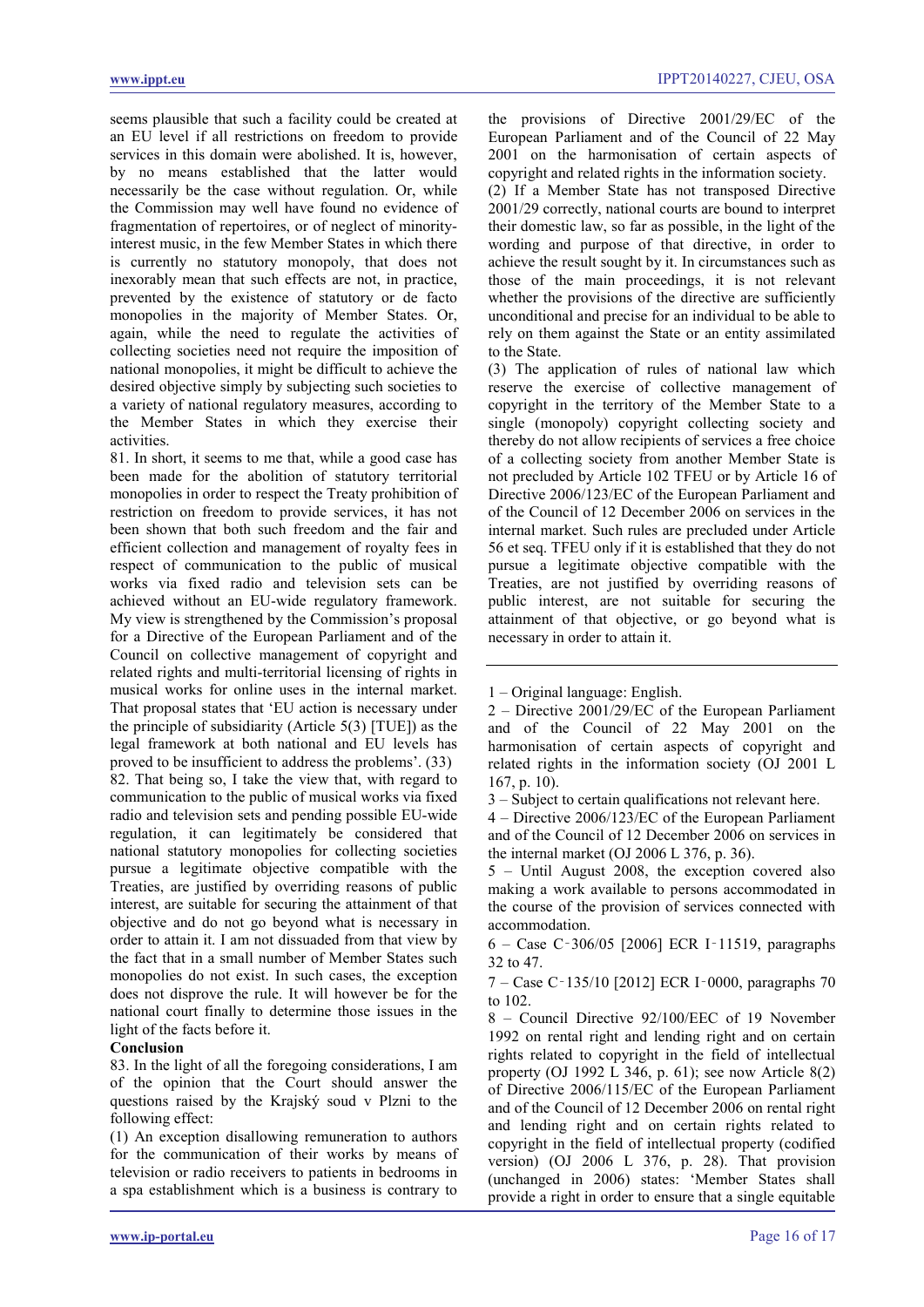seems plausible that such a facility could be created at an EU level if all restrictions on freedom to provide services in this domain were abolished. It is, however, by no means established that the latter would necessarily be the case without regulation. Or, while the Commission may well have found no evidence of fragmentation of repertoires, or of neglect of minorityinterest music, in the few Member States in which there is currently no statutory monopoly, that does not inexorably mean that such effects are not, in practice, prevented by the existence of statutory or de facto monopolies in the majority of Member States. Or, again, while the need to regulate the activities of collecting societies need not require the imposition of national monopolies, it might be difficult to achieve the desired objective simply by subjecting such societies to a variety of national regulatory measures, according to the Member States in which they exercise their activities.

81. In short, it seems to me that, while a good case has been made for the abolition of statutory territorial monopolies in order to respect the Treaty prohibition of restriction on freedom to provide services, it has not been shown that both such freedom and the fair and efficient collection and management of royalty fees in respect of communication to the public of musical works via fixed radio and television sets can be achieved without an EU-wide regulatory framework. My view is strengthened by the Commission's proposal for a Directive of the European Parliament and of the Council on collective management of copyright and related rights and multi-territorial licensing of rights in musical works for online uses in the internal market. That proposal states that 'EU action is necessary under the principle of subsidiarity (Article 5(3) [TUE]) as the legal framework at both national and EU levels has proved to be insufficient to address the problems'. (33) 82. That being so, I take the view that, with regard to communication to the public of musical works via fixed radio and television sets and pending possible EU-wide regulation, it can legitimately be considered that national statutory monopolies for collecting societies pursue a legitimate objective compatible with the Treaties, are justified by overriding reasons of public interest, are suitable for securing the attainment of that objective and do not go beyond what is necessary in order to attain it. I am not dissuaded from that view by the fact that in a small number of Member States such monopolies do not exist. In such cases, the exception does not disprove the rule. It will however be for the national court finally to determine those issues in the light of the facts before it.

#### **Conclusion**

83. In the light of all the foregoing considerations, I am of the opinion that the Court should answer the questions raised by the Krajský soud v Plzni to the following effect:

(1) An exception disallowing remuneration to authors for the communication of their works by means of television or radio receivers to patients in bedrooms in a spa establishment which is a business is contrary to

the provisions of Directive 2001/29/EC of the European Parliament and of the Council of 22 May 2001 on the harmonisation of certain aspects of copyright and related rights in the information society.

(2) If a Member State has not transposed Directive 2001/29 correctly, national courts are bound to interpret their domestic law, so far as possible, in the light of the wording and purpose of that directive, in order to achieve the result sought by it. In circumstances such as those of the main proceedings, it is not relevant whether the provisions of the directive are sufficiently unconditional and precise for an individual to be able to rely on them against the State or an entity assimilated to the State.

(3) The application of rules of national law which reserve the exercise of collective management of copyright in the territory of the Member State to a single (monopoly) copyright collecting society and thereby do not allow recipients of services a free choice of a collecting society from another Member State is not precluded by Article 102 TFEU or by Article 16 of Directive 2006/123/EC of the European Parliament and of the Council of 12 December 2006 on services in the internal market. Such rules are precluded under Article 56 et seq. TFEU only if it is established that they do not pursue a legitimate objective compatible with the Treaties, are not justified by overriding reasons of public interest, are not suitable for securing the attainment of that objective, or go beyond what is necessary in order to attain it.

6 – Case C‑306/05 [2006] ECR I‑11519, paragraphs 32 to 47.

7 – Case C‑135/10 [2012] ECR I‑0000, paragraphs 70 to 102.

8 – Council Directive 92/100/EEC of 19 November 1992 on rental right and lending right and on certain rights related to copyright in the field of intellectual property (OJ 1992 L 346, p. 61); see now Article 8(2) of Directive 2006/115/EC of the European Parliament and of the Council of 12 December 2006 on rental right and lending right and on certain rights related to copyright in the field of intellectual property (codified version) (OJ 2006 L 376, p. 28). That provision (unchanged in 2006) states: 'Member States shall provide a right in order to ensure that a single equitable

<sup>1 –</sup> Original language: English.

<sup>2 –</sup> Directive 2001/29/EC of the European Parliament and of the Council of 22 May 2001 on the harmonisation of certain aspects of copyright and related rights in the information society (OJ 2001 L 167, p. 10).

<sup>3 –</sup> Subject to certain qualifications not relevant here.

<sup>4 –</sup> Directive 2006/123/EC of the European Parliament and of the Council of 12 December 2006 on services in the internal market (OJ 2006 L 376, p. 36).

<sup>5 –</sup> Until August 2008, the exception covered also making a work available to persons accommodated in the course of the provision of services connected with accommodation.